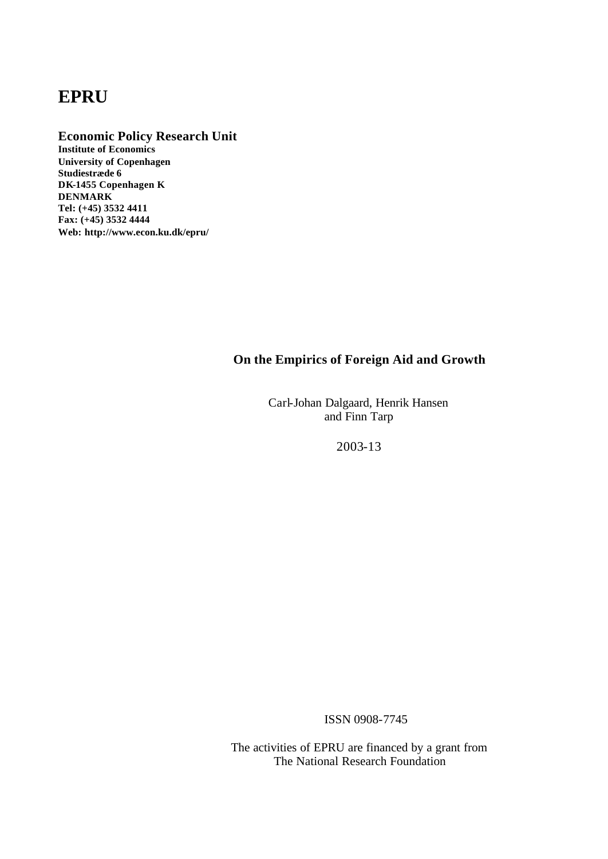## **EPRU**

## **Economic Policy Research Unit**

**Institute of Economics University of Copenhagen Studiestræde 6 DK-1455 Copenhagen K DENMARK Tel: (+45) 3532 4411 Fax: (+45) 3532 4444 Web: <http://www.econ.ku.dk/epru/>**

### **On the Empirics of Foreign Aid and Growth**

Carl-Johan Dalgaard, Henrik Hansen and Finn Tarp

2003-13

ISSN 0908-7745

The activities of EPRU are financed by a grant from The National Research Foundation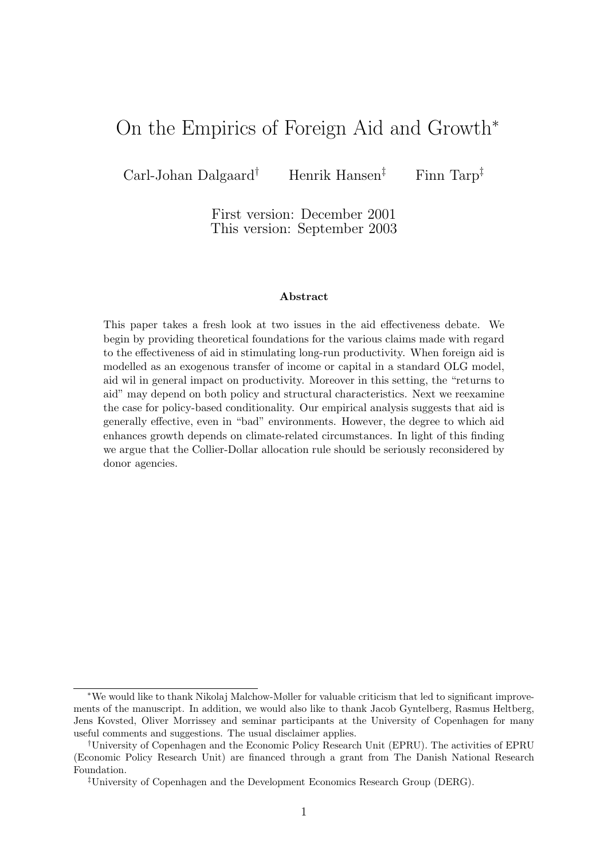## On the Empirics of Foreign Aid and Growth<sup>∗</sup>

Carl-Johan Dalgaard<sup>†</sup> Henrik Hansen<sup>‡</sup> Finn Tarp<sup>‡</sup>

First version: December 2001 This version: September 2003

#### Abstract

This paper takes a fresh look at two issues in the aid effectiveness debate. We begin by providing theoretical foundations for the various claims made with regard to the effectiveness of aid in stimulating long-run productivity. When foreign aid is modelled as an exogenous transfer of income or capital in a standard OLG model, aid wil in general impact on productivity. Moreover in this setting, the "returns to aid" may depend on both policy and structural characteristics. Next we reexamine the case for policy-based conditionality. Our empirical analysis suggests that aid is generally effective, even in "bad" environments. However, the degree to which aid enhances growth depends on climate-related circumstances. In light of this finding we argue that the Collier-Dollar allocation rule should be seriously reconsidered by donor agencies.

<sup>∗</sup>We would like to thank Nikolaj Malchow-Møller for valuable criticism that led to significant improvements of the manuscript. In addition, we would also like to thank Jacob Gyntelberg, Rasmus Heltberg, Jens Kovsted, Oliver Morrissey and seminar participants at the University of Copenhagen for many useful comments and suggestions. The usual disclaimer applies.

<sup>†</sup>University of Copenhagen and the Economic Policy Research Unit (EPRU). The activities of EPRU (Economic Policy Research Unit) are financed through a grant from The Danish National Research Foundation.

<sup>‡</sup>University of Copenhagen and the Development Economics Research Group (DERG).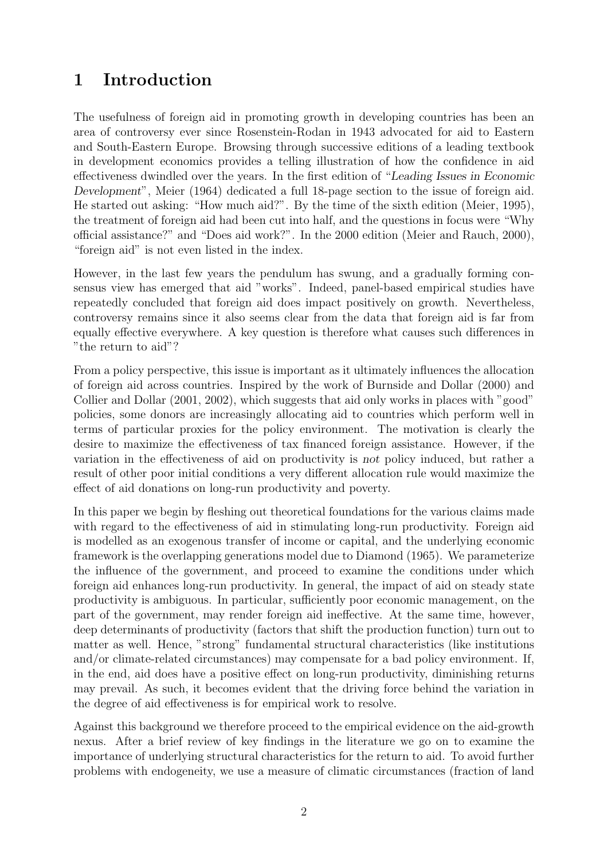# 1 Introduction

The usefulness of foreign aid in promoting growth in developing countries has been an area of controversy ever since Rosenstein-Rodan in 1943 advocated for aid to Eastern and South-Eastern Europe. Browsing through successive editions of a leading textbook in development economics provides a telling illustration of how the confidence in aid effectiveness dwindled over the years. In the first edition of "Leading Issues in Economic Development", Meier (1964) dedicated a full 18-page section to the issue of foreign aid. He started out asking: "How much aid?". By the time of the sixth edition (Meier, 1995), the treatment of foreign aid had been cut into half, and the questions in focus were "Why official assistance?" and "Does aid work?". In the 2000 edition (Meier and Rauch, 2000), "foreign aid" is not even listed in the index.

However, in the last few years the pendulum has swung, and a gradually forming consensus view has emerged that aid "works". Indeed, panel-based empirical studies have repeatedly concluded that foreign aid does impact positively on growth. Nevertheless, controversy remains since it also seems clear from the data that foreign aid is far from equally effective everywhere. A key question is therefore what causes such differences in "the return to aid"?

From a policy perspective, this issue is important as it ultimately influences the allocation of foreign aid across countries. Inspired by the work of Burnside and Dollar (2000) and Collier and Dollar (2001, 2002), which suggests that aid only works in places with "good" policies, some donors are increasingly allocating aid to countries which perform well in terms of particular proxies for the policy environment. The motivation is clearly the desire to maximize the effectiveness of tax financed foreign assistance. However, if the variation in the effectiveness of aid on productivity is not policy induced, but rather a result of other poor initial conditions a very different allocation rule would maximize the effect of aid donations on long-run productivity and poverty.

In this paper we begin by fleshing out theoretical foundations for the various claims made with regard to the effectiveness of aid in stimulating long-run productivity. Foreign aid is modelled as an exogenous transfer of income or capital, and the underlying economic framework is the overlapping generations model due to Diamond (1965). We parameterize the influence of the government, and proceed to examine the conditions under which foreign aid enhances long-run productivity. In general, the impact of aid on steady state productivity is ambiguous. In particular, sufficiently poor economic management, on the part of the government, may render foreign aid ineffective. At the same time, however, deep determinants of productivity (factors that shift the production function) turn out to matter as well. Hence, "strong" fundamental structural characteristics (like institutions and/or climate-related circumstances) may compensate for a bad policy environment. If, in the end, aid does have a positive effect on long-run productivity, diminishing returns may prevail. As such, it becomes evident that the driving force behind the variation in the degree of aid effectiveness is for empirical work to resolve.

Against this background we therefore proceed to the empirical evidence on the aid-growth nexus. After a brief review of key findings in the literature we go on to examine the importance of underlying structural characteristics for the return to aid. To avoid further problems with endogeneity, we use a measure of climatic circumstances (fraction of land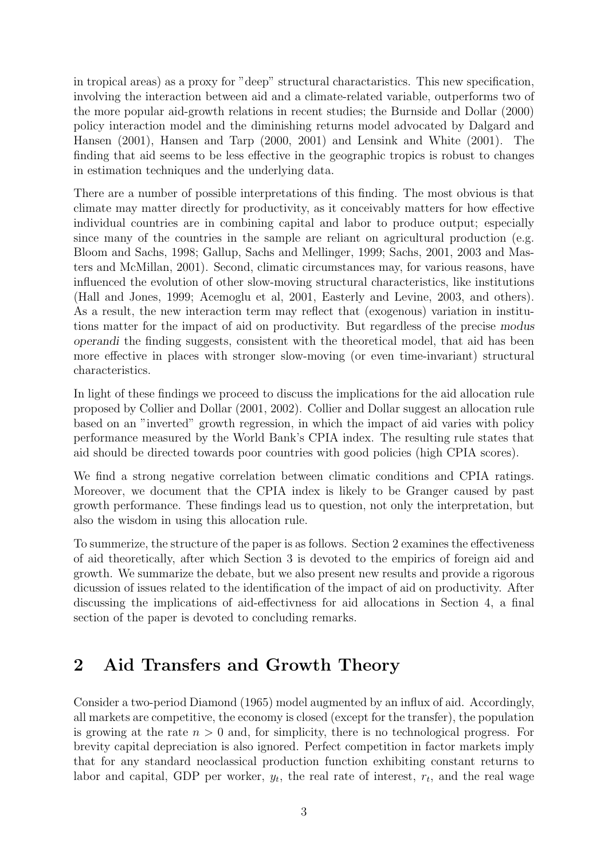in tropical areas) as a proxy for "deep" structural charactaristics. This new specification, involving the interaction between aid and a climate-related variable, outperforms two of the more popular aid-growth relations in recent studies; the Burnside and Dollar (2000) policy interaction model and the diminishing returns model advocated by Dalgard and Hansen (2001), Hansen and Tarp (2000, 2001) and Lensink and White (2001). The finding that aid seems to be less effective in the geographic tropics is robust to changes in estimation techniques and the underlying data.

There are a number of possible interpretations of this finding. The most obvious is that climate may matter directly for productivity, as it conceivably matters for how effective individual countries are in combining capital and labor to produce output; especially since many of the countries in the sample are reliant on agricultural production (e.g. Bloom and Sachs, 1998; Gallup, Sachs and Mellinger, 1999; Sachs, 2001, 2003 and Masters and McMillan, 2001). Second, climatic circumstances may, for various reasons, have influenced the evolution of other slow-moving structural characteristics, like institutions (Hall and Jones, 1999; Acemoglu et al, 2001, Easterly and Levine, 2003, and others). As a result, the new interaction term may reflect that (exogenous) variation in institutions matter for the impact of aid on productivity. But regardless of the precise modus operandi the finding suggests, consistent with the theoretical model, that aid has been more effective in places with stronger slow-moving (or even time-invariant) structural characteristics.

In light of these findings we proceed to discuss the implications for the aid allocation rule proposed by Collier and Dollar (2001, 2002). Collier and Dollar suggest an allocation rule based on an "inverted" growth regression, in which the impact of aid varies with policy performance measured by the World Bank's CPIA index. The resulting rule states that aid should be directed towards poor countries with good policies (high CPIA scores).

We find a strong negative correlation between climatic conditions and CPIA ratings. Moreover, we document that the CPIA index is likely to be Granger caused by past growth performance. These findings lead us to question, not only the interpretation, but also the wisdom in using this allocation rule.

To summerize, the structure of the paper is as follows. Section 2 examines the effectiveness of aid theoretically, after which Section 3 is devoted to the empirics of foreign aid and growth. We summarize the debate, but we also present new results and provide a rigorous dicussion of issues related to the identification of the impact of aid on productivity. After discussing the implications of aid-effectivness for aid allocations in Section 4, a final section of the paper is devoted to concluding remarks.

### 2 Aid Transfers and Growth Theory

Consider a two-period Diamond (1965) model augmented by an influx of aid. Accordingly, all markets are competitive, the economy is closed (except for the transfer), the population is growing at the rate  $n > 0$  and, for simplicity, there is no technological progress. For brevity capital depreciation is also ignored. Perfect competition in factor markets imply that for any standard neoclassical production function exhibiting constant returns to labor and capital, GDP per worker,  $y_t$ , the real rate of interest,  $r_t$ , and the real wage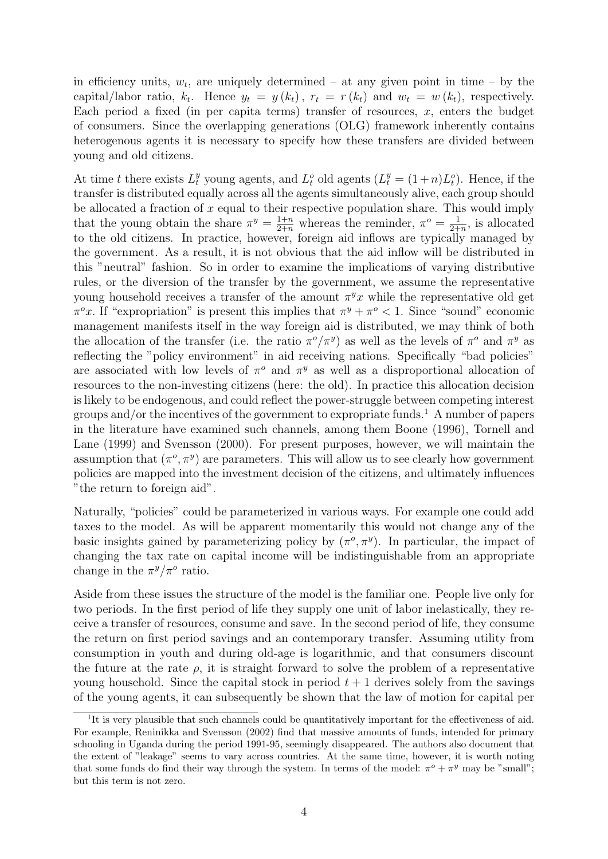in efficiency units,  $w_t$ , are uniquely determined – at any given point in time – by the capital/labor ratio,  $k_t$ . Hence  $y_t = y(k_t)$ ,  $r_t = r(k_t)$  and  $w_t = w(k_t)$ , respectively. Each period a fixed (in per capita terms) transfer of resources,  $x$ , enters the budget of consumers. Since the overlapping generations (OLG) framework inherently contains heterogenous agents it is necessary to specify how these transfers are divided between young and old citizens.

At time t there exists  $L_t^y$  young agents, and  $L_t^o$  old agents  $(L_t^y = (1+n)L_t^o)$ . Hence, if the transfer is distributed equally across all the agents simultaneously alive, each group should be allocated a fraction of x equal to their respective population share. This would imply that the young obtain the share  $\pi^y = \frac{1+n}{2+n}$  whereas the reminder,  $\pi^o = \frac{1}{2+n}$  $\frac{1}{2+n}$ , is allocated to the old citizens. In practice, however, foreign aid inflows are typically managed by the government. As a result, it is not obvious that the aid inflow will be distributed in this "neutral" fashion. So in order to examine the implications of varying distributive rules, or the diversion of the transfer by the government, we assume the representative young household receives a transfer of the amount  $\pi^y x$  while the representative old get  $\pi^o x$ . If "expropriation" is present this implies that  $\pi^y + \pi^o < 1$ . Since "sound" economic management manifests itself in the way foreign aid is distributed, we may think of both the allocation of the transfer (i.e. the ratio  $\pi^o/\pi^y$ ) as well as the levels of  $\pi^o$  and  $\pi^y$  as reflecting the "policy environment" in aid receiving nations. Specifically "bad policies" are associated with low levels of  $\pi^o$  and  $\pi^y$  as well as a disproportional allocation of resources to the non-investing citizens (here: the old). In practice this allocation decision is likely to be endogenous, and could reflect the power-struggle between competing interest groups and/or the incentives of the government to expropriate funds.<sup>1</sup> A number of papers in the literature have examined such channels, among them Boone (1996), Tornell and Lane (1999) and Svensson (2000). For present purposes, however, we will maintain the assumption that  $(\pi^o, \pi^y)$  are parameters. This will allow us to see clearly how government policies are mapped into the investment decision of the citizens, and ultimately influences "the return to foreign aid".

Naturally, "policies" could be parameterized in various ways. For example one could add taxes to the model. As will be apparent momentarily this would not change any of the basic insights gained by parameterizing policy by  $(\pi^o, \pi^y)$ . In particular, the impact of changing the tax rate on capital income will be indistinguishable from an appropriate change in the  $\pi^y/\pi^o$  ratio.

Aside from these issues the structure of the model is the familiar one. People live only for two periods. In the first period of life they supply one unit of labor inelastically, they receive a transfer of resources, consume and save. In the second period of life, they consume the return on first period savings and an contemporary transfer. Assuming utility from consumption in youth and during old-age is logarithmic, and that consumers discount the future at the rate  $\rho$ , it is straight forward to solve the problem of a representative young household. Since the capital stock in period  $t + 1$  derives solely from the savings of the young agents, it can subsequently be shown that the law of motion for capital per

<sup>&</sup>lt;sup>1</sup>It is very plausible that such channels could be quantitatively important for the effectiveness of aid. For example, Reninikka and Svensson (2002) find that massive amounts of funds, intended for primary schooling in Uganda during the period 1991-95, seemingly disappeared. The authors also document that the extent of "leakage" seems to vary across countries. At the same time, however, it is worth noting that some funds do find their way through the system. In terms of the model:  $\pi^o + \pi^y$  may be "small"; but this term is not zero.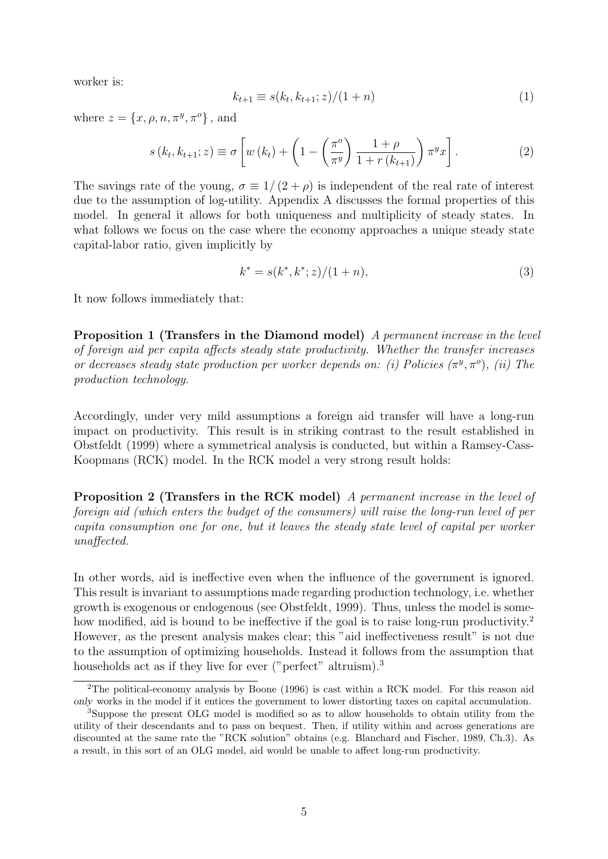worker is:

$$
k_{t+1} \equiv s(k_t, k_{t+1}; z)/(1+n) \tag{1}
$$

where  $z = \{x, \rho, n, \pi^y, \pi^o\}$ , and

$$
s(k_t, k_{t+1}; z) \equiv \sigma \left[ w(k_t) + \left( 1 - \left( \frac{\pi^o}{\pi^y} \right) \frac{1+\rho}{1+r(k_{t+1})} \right) \pi^y x \right]. \tag{2}
$$

The savings rate of the young,  $\sigma \equiv 1/(2 + \rho)$  is independent of the real rate of interest due to the assumption of log-utility. Appendix A discusses the formal properties of this model. In general it allows for both uniqueness and multiplicity of steady states. In what follows we focus on the case where the economy approaches a unique steady state capital-labor ratio, given implicitly by

$$
k^* = s(k^*, k^*; z)/(1+n),
$$
\n(3)

It now follows immediately that:

Proposition 1 (Transfers in the Diamond model) A permanent increase in the level of foreign aid per capita affects steady state productivity. Whether the transfer increases or decreases steady state production per worker depends on: (i) Policies  $(\pi^y, \pi^o)$ , (ii) The production technology.

Accordingly, under very mild assumptions a foreign aid transfer will have a long-run impact on productivity. This result is in striking contrast to the result established in Obstfeldt (1999) where a symmetrical analysis is conducted, but within a Ramsey-Cass-Koopmans (RCK) model. In the RCK model a very strong result holds:

Proposition 2 (Transfers in the RCK model) A permanent increase in the level of foreign aid (which enters the budget of the consumers) will raise the long-run level of per capita consumption one for one, but it leaves the steady state level of capital per worker unaffected.

In other words, aid is ineffective even when the influence of the government is ignored. This result is invariant to assumptions made regarding production technology, i.e. whether growth is exogenous or endogenous (see Obstfeldt, 1999). Thus, unless the model is somehow modified, aid is bound to be ineffective if the goal is to raise long-run productivity.<sup>2</sup> However, as the present analysis makes clear; this "aid ineffectiveness result" is not due to the assumption of optimizing households. Instead it follows from the assumption that households act as if they live for ever ("perfect" altruism).<sup>3</sup>

<sup>2</sup>The political-economy analysis by Boone (1996) is cast within a RCK model. For this reason aid only works in the model if it entices the government to lower distorting taxes on capital accumulation.

<sup>3</sup>Suppose the present OLG model is modified so as to allow households to obtain utility from the utility of their descendants and to pass on bequest. Then, if utility within and across generations are discounted at the same rate the "RCK solution" obtains (e.g. Blanchard and Fischer, 1989, Ch.3). As a result, in this sort of an OLG model, aid would be unable to affect long-run productivity.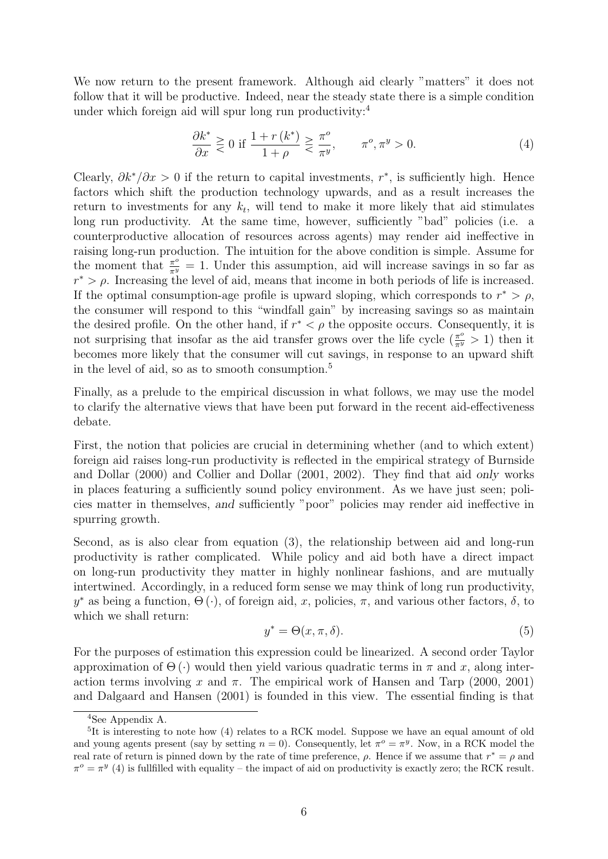We now return to the present framework. Although aid clearly "matters" it does not follow that it will be productive. Indeed, near the steady state there is a simple condition under which foreign aid will spur long run productivity:<sup>4</sup>

$$
\frac{\partial k^*}{\partial x} \geq 0 \text{ if } \frac{1+r(k^*)}{1+\rho} \geq \frac{\pi^o}{\pi^y}, \qquad \pi^o, \pi^y > 0. \tag{4}
$$

Clearly,  $\partial k^*/\partial x > 0$  if the return to capital investments, r<sup>\*</sup>, is sufficiently high. Hence factors which shift the production technology upwards, and as a result increases the return to investments for any  $k_t$ , will tend to make it more likely that aid stimulates long run productivity. At the same time, however, sufficiently "bad" policies (i.e. a counterproductive allocation of resources across agents) may render aid ineffective in raising long-run production. The intuition for the above condition is simple. Assume for the moment that  $\frac{\pi^o}{\pi^y} = 1$ . Under this assumption, aid will increase savings in so far as  $r^* > \rho$ . Increasing the level of aid, means that income in both periods of life is increased. If the optimal consumption-age profile is upward sloping, which corresponds to  $r^* > \rho$ , the consumer will respond to this "windfall gain" by increasing savings so as maintain the desired profile. On the other hand, if  $r^* < \rho$  the opposite occurs. Consequently, it is not surprising that insofar as the aid transfer grows over the life cycle  $(\frac{\pi^o}{\pi^g} > 1)$  then it becomes more likely that the consumer will cut savings, in response to an upward shift in the level of aid, so as to smooth consumption.<sup>5</sup>

Finally, as a prelude to the empirical discussion in what follows, we may use the model to clarify the alternative views that have been put forward in the recent aid-effectiveness debate.

First, the notion that policies are crucial in determining whether (and to which extent) foreign aid raises long-run productivity is reflected in the empirical strategy of Burnside and Dollar (2000) and Collier and Dollar (2001, 2002). They find that aid only works in places featuring a sufficiently sound policy environment. As we have just seen; policies matter in themselves, and sufficiently "poor" policies may render aid ineffective in spurring growth.

Second, as is also clear from equation (3), the relationship between aid and long-run productivity is rather complicated. While policy and aid both have a direct impact on long-run productivity they matter in highly nonlinear fashions, and are mutually intertwined. Accordingly, in a reduced form sense we may think of long run productivity, y<sup>\*</sup> as being a function,  $\Theta(\cdot)$ , of foreign aid, x, policies,  $\pi$ , and various other factors,  $\delta$ , to which we shall return:

$$
y^* = \Theta(x, \pi, \delta). \tag{5}
$$

For the purposes of estimation this expression could be linearized. A second order Taylor approximation of  $\Theta(\cdot)$  would then yield various quadratic terms in  $\pi$  and x, along interaction terms involving x and  $\pi$ . The empirical work of Hansen and Tarp (2000, 2001) and Dalgaard and Hansen (2001) is founded in this view. The essential finding is that

<sup>4</sup>See Appendix A.

<sup>&</sup>lt;sup>5</sup>It is interesting to note how (4) relates to a RCK model. Suppose we have an equal amount of old and young agents present (say by setting  $n = 0$ ). Consequently, let  $\pi^o = \pi^y$ . Now, in a RCK model the real rate of return is pinned down by the rate of time preference,  $\rho$ . Hence if we assume that  $r^* = \rho$  and  $\pi^o = \pi^y$  (4) is fullfilled with equality – the impact of aid on productivity is exactly zero; the RCK result.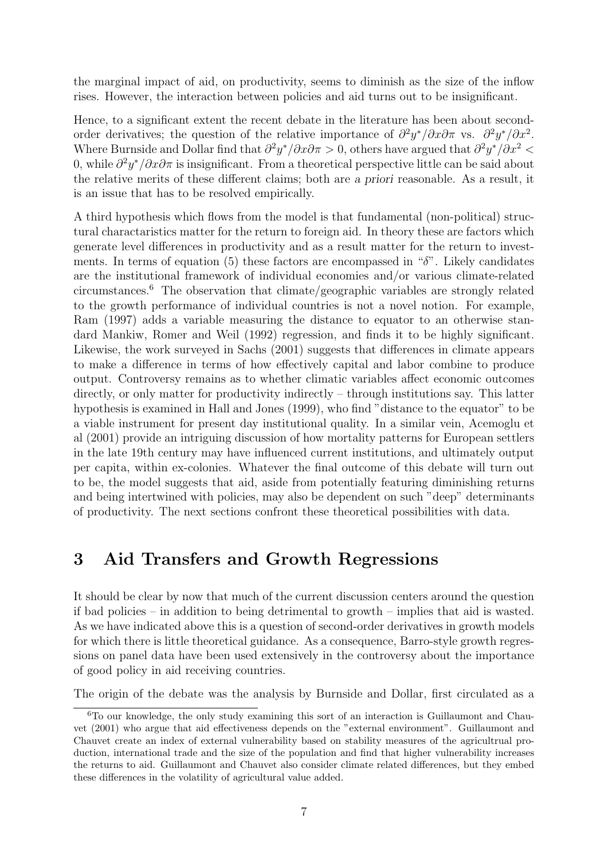the marginal impact of aid, on productivity, seems to diminish as the size of the inflow rises. However, the interaction between policies and aid turns out to be insignificant.

Hence, to a significant extent the recent debate in the literature has been about secondorder derivatives; the question of the relative importance of  $\partial^2 y^* / \partial x \partial \pi$  vs.  $\partial^2 y^* / \partial x^2$ . Where Burnside and Dollar find that  $\partial^2 y^* / \partial x \partial \pi > 0$ , others have argued that  $\partial^2 y^* / \partial x^2 <$ 0, while  $\partial^2 y^* / \partial x \partial \pi$  is insignificant. From a theoretical perspective little can be said about the relative merits of these different claims; both are a priori reasonable. As a result, it is an issue that has to be resolved empirically.

A third hypothesis which flows from the model is that fundamental (non-political) structural charactaristics matter for the return to foreign aid. In theory these are factors which generate level differences in productivity and as a result matter for the return to investments. In terms of equation (5) these factors are encompassed in " $\delta$ ". Likely candidates are the institutional framework of individual economies and/or various climate-related circumstances.<sup>6</sup> The observation that climate/geographic variables are strongly related to the growth performance of individual countries is not a novel notion. For example, Ram (1997) adds a variable measuring the distance to equator to an otherwise standard Mankiw, Romer and Weil (1992) regression, and finds it to be highly significant. Likewise, the work surveyed in Sachs (2001) suggests that differences in climate appears to make a difference in terms of how effectively capital and labor combine to produce output. Controversy remains as to whether climatic variables affect economic outcomes directly, or only matter for productivity indirectly – through institutions say. This latter hypothesis is examined in Hall and Jones (1999), who find "distance to the equator" to be a viable instrument for present day institutional quality. In a similar vein, Acemoglu et al (2001) provide an intriguing discussion of how mortality patterns for European settlers in the late 19th century may have influenced current institutions, and ultimately output per capita, within ex-colonies. Whatever the final outcome of this debate will turn out to be, the model suggests that aid, aside from potentially featuring diminishing returns and being intertwined with policies, may also be dependent on such "deep" determinants of productivity. The next sections confront these theoretical possibilities with data.

### 3 Aid Transfers and Growth Regressions

It should be clear by now that much of the current discussion centers around the question if bad policies – in addition to being detrimental to growth – implies that aid is wasted. As we have indicated above this is a question of second-order derivatives in growth models for which there is little theoretical guidance. As a consequence, Barro-style growth regressions on panel data have been used extensively in the controversy about the importance of good policy in aid receiving countries.

The origin of the debate was the analysis by Burnside and Dollar, first circulated as a

 $6T<sub>0</sub>$  our knowledge, the only study examining this sort of an interaction is Guillaumont and Chauvet (2001) who argue that aid effectiveness depends on the "external environment". Guillaumont and Chauvet create an index of external vulnerability based on stability measures of the agricultrual production, international trade and the size of the population and find that higher vulnerability increases the returns to aid. Guillaumont and Chauvet also consider climate related differences, but they embed these differences in the volatility of agricultural value added.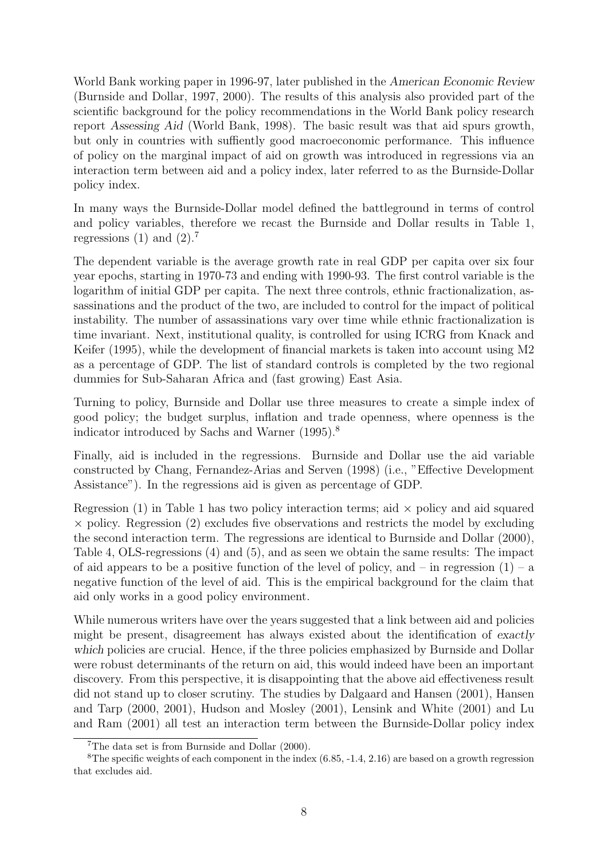World Bank working paper in 1996-97, later published in the American Economic Review (Burnside and Dollar, 1997, 2000). The results of this analysis also provided part of the scientific background for the policy recommendations in the World Bank policy research report Assessing Aid (World Bank, 1998). The basic result was that aid spurs growth, but only in countries with suffiently good macroeconomic performance. This influence of policy on the marginal impact of aid on growth was introduced in regressions via an interaction term between aid and a policy index, later referred to as the Burnside-Dollar policy index.

In many ways the Burnside-Dollar model defined the battleground in terms of control and policy variables, therefore we recast the Burnside and Dollar results in Table 1, regressions  $(1)$  and  $(2).7$ 

The dependent variable is the average growth rate in real GDP per capita over six four year epochs, starting in 1970-73 and ending with 1990-93. The first control variable is the logarithm of initial GDP per capita. The next three controls, ethnic fractionalization, assassinations and the product of the two, are included to control for the impact of political instability. The number of assassinations vary over time while ethnic fractionalization is time invariant. Next, institutional quality, is controlled for using ICRG from Knack and Keifer (1995), while the development of financial markets is taken into account using M2 as a percentage of GDP. The list of standard controls is completed by the two regional dummies for Sub-Saharan Africa and (fast growing) East Asia.

Turning to policy, Burnside and Dollar use three measures to create a simple index of good policy; the budget surplus, inflation and trade openness, where openness is the indicator introduced by Sachs and Warner (1995).<sup>8</sup>

Finally, aid is included in the regressions. Burnside and Dollar use the aid variable constructed by Chang, Fernandez-Arias and Serven (1998) (i.e., "Effective Development Assistance"). In the regressions aid is given as percentage of GDP.

Regression (1) in Table 1 has two policy interaction terms; aid  $\times$  policy and aid squared  $\times$  policy. Regression (2) excludes five observations and restricts the model by excluding the second interaction term. The regressions are identical to Burnside and Dollar (2000), Table 4, OLS-regressions (4) and (5), and as seen we obtain the same results: The impact of aid appears to be a positive function of the level of policy, and – in regression  $(1)$  – a negative function of the level of aid. This is the empirical background for the claim that aid only works in a good policy environment.

While numerous writers have over the years suggested that a link between aid and policies might be present, disagreement has always existed about the identification of exactly which policies are crucial. Hence, if the three policies emphasized by Burnside and Dollar were robust determinants of the return on aid, this would indeed have been an important discovery. From this perspective, it is disappointing that the above aid effectiveness result did not stand up to closer scrutiny. The studies by Dalgaard and Hansen (2001), Hansen and Tarp (2000, 2001), Hudson and Mosley (2001), Lensink and White (2001) and Lu and Ram (2001) all test an interaction term between the Burnside-Dollar policy index

<sup>7</sup>The data set is from Burnside and Dollar (2000).

<sup>&</sup>lt;sup>8</sup>The specific weights of each component in the index  $(6.85, -1.4, 2.16)$  are based on a growth regression that excludes aid.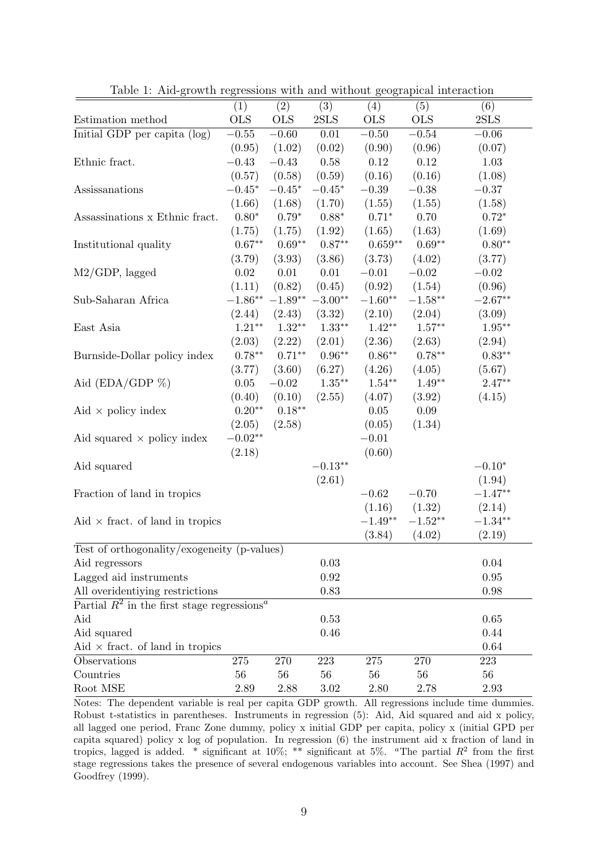|                                                           | (1)        | (2)        | (3)          | (4)        | (5)        | (6)        |
|-----------------------------------------------------------|------------|------------|--------------|------------|------------|------------|
| Estimation method                                         | <b>OLS</b> | <b>OLS</b> | $2{\rm SLS}$ | <b>OLS</b> | <b>OLS</b> | 2SLS       |
| Initial GDP per capita (log)                              | $-0.55$    | $-0.60$    | $0.01\,$     | $-0.50$    | $-0.54$    | $-0.06$    |
|                                                           | (0.95)     | (1.02)     | (0.02)       | (0.90)     | (0.96)     | (0.07)     |
| Ethnic fract.                                             | $-0.43$    | $-0.43$    | $0.58\,$     | 0.12       | 0.12       | 1.03       |
|                                                           | (0.57)     | (0.58)     | (0.59)       | (0.16)     | (0.16)     | (1.08)     |
| Assissanations                                            | $-0.45*$   | $-0.45*$   | $-0.45*$     | $-0.39$    | $-0.38$    | $-0.37$    |
|                                                           | (1.66)     | (1.68)     | (1.70)       | (1.55)     | (1.55)     | (1.58)     |
| Assassinations x Ethnic fract.                            | $0.80*$    | $0.79*$    | $0.88*$      | $0.71*$    | 0.70       | $0.72*$    |
|                                                           | (1.75)     | (1.75)     | (1.92)       | (1.65)     | (1.63)     | (1.69)     |
| Institutional quality                                     | $0.67**$   | $0.69**$   | $0.87**$     | $0.659**$  | $0.69**$   | $0.80**$   |
|                                                           | (3.79)     | (3.93)     | (3.86)       | (3.73)     | (4.02)     | (3.77)     |
| $M2/GDP$ , lagged                                         | $0.02\,$   | 0.01       | $0.01\,$     | $-0.01$    | $-0.02$    | $-0.02$    |
|                                                           | (1.11)     | (0.82)     | (0.45)       | (0.92)     | (1.54)     | (0.96)     |
| Sub-Saharan Africa                                        | $-1.86**$  | $-1.89**$  | $-3.00**$    | $-1.60**$  | $-1.58**$  | $-2.67**$  |
|                                                           | (2.44)     | (2.43)     | (3.32)       | (2.10)     | (2.04)     | (3.09)     |
| East Asia                                                 | $1.21***$  | $1.32**$   | $1.33***$    | $1.42**$   | $1.57***$  | $1.95***$  |
|                                                           | (2.03)     | (2.22)     | (2.01)       | (2.36)     | (2.63)     | (2.94)     |
| Burnside-Dollar policy index                              | $0.78**$   | $0.71**$   | $0.96**$     | $0.86**$   | $0.78***$  | $0.83**$   |
|                                                           | (3.77)     | (3.60)     | (6.27)       | (4.26)     | (4.05)     | (5.67)     |
| Aid (EDA/GDP $\%$ )                                       | 0.05       | $-0.02$    | $1.35***$    | $1.54***$  | $1.49**$   | $2.47**$   |
|                                                           | (0.40)     | (0.10)     | (2.55)       | (4.07)     | (3.92)     | (4.15)     |
| Aid $\times$ policy index                                 | $0.20**$   | $0.18***$  |              | $0.05\,$   | 0.09       |            |
|                                                           | (2.05)     | (2.58)     |              | (0.05)     | (1.34)     |            |
| Aid squared $\times$ policy index                         | $-0.02**$  |            |              | $-0.01$    |            |            |
|                                                           | (2.18)     |            |              | (0.60)     |            |            |
| Aid squared                                               |            |            | $-0.13**$    |            |            | $-0.10*$   |
|                                                           |            |            | (2.61)       |            |            | (1.94)     |
| Fraction of land in tropics                               |            |            |              | $-0.62$    | $-0.70$    | $-1.47**$  |
|                                                           |            |            |              | (1.16)     | (1.32)     | (2.14)     |
| Aid $\times$ fract. of land in tropics                    |            |            |              | $-1.49**$  | $-1.52**$  | $-1.34**$  |
|                                                           |            |            |              | (3.84)     | (4.02)     | (2.19)     |
| Test of orthogonality/exogeneity (p-values)               |            |            |              |            |            |            |
| Aid regressors                                            |            |            | 0.03         |            |            | 0.04       |
| Lagged aid instruments                                    |            |            | 0.92         |            |            | $\rm 0.95$ |
| All overidentiying restrictions                           |            |            | 0.83         |            |            | 0.98       |
| Partial $R^2$ in the first stage regressions <sup>a</sup> |            |            |              |            |            |            |
| Aid                                                       |            |            | 0.53         |            |            | 0.65       |
| Aid squared                                               |            |            | 0.46         |            |            | 0.44       |
| Aid $\times$ fract. of land in tropics                    |            |            |              |            |            | 0.64       |
| Observations                                              | 275        | 270        | 223          | 275        | 270        | $223\,$    |
| Countries                                                 | 56         | $56\,$     | 56           | 56         | 56         | 56         |
| Root MSE                                                  | $2.89\,$   | $2.88\,$   | $3.02\,$     | $2.80\,$   | 2.78       | $2.93\,$   |

Table 1: Aid-growth regressions with and without geograpical interaction

Notes: The dependent variable is real per capita GDP growth. All regressions include time dummies. Robust t-statistics in parentheses. Instruments in regression (5): Aid, Aid squared and aid x policy, all lagged one period, Franc Zone dummy, policy x initial GDP per capita, policy x (initial GPD per capita squared) policy x log of population. In regression (6) the instrument aid x fraction of land in tropics, lagged is added. \* significant at  $10\%$ ; \*\* significant at 5%. <sup>a</sup>The partial  $R^2$  from the first stage regressions takes the presence of several endogenous variables into account. See Shea (1997) and Goodfrey (1999).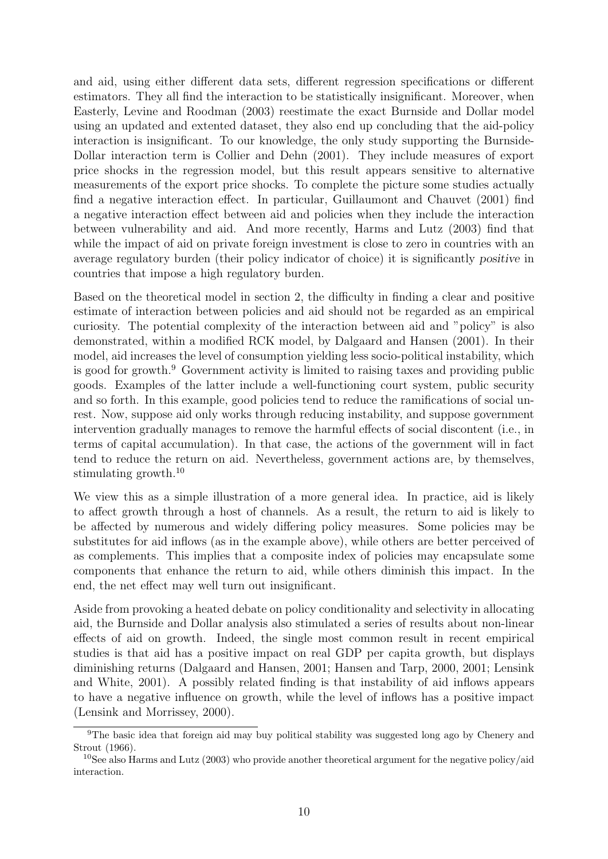and aid, using either different data sets, different regression specifications or different estimators. They all find the interaction to be statistically insignificant. Moreover, when Easterly, Levine and Roodman (2003) reestimate the exact Burnside and Dollar model using an updated and extented dataset, they also end up concluding that the aid-policy interaction is insignificant. To our knowledge, the only study supporting the Burnside-Dollar interaction term is Collier and Dehn (2001). They include measures of export price shocks in the regression model, but this result appears sensitive to alternative measurements of the export price shocks. To complete the picture some studies actually find a negative interaction effect. In particular, Guillaumont and Chauvet (2001) find a negative interaction effect between aid and policies when they include the interaction between vulnerability and aid. And more recently, Harms and Lutz (2003) find that while the impact of aid on private foreign investment is close to zero in countries with an average regulatory burden (their policy indicator of choice) it is significantly positive in countries that impose a high regulatory burden.

Based on the theoretical model in section 2, the difficulty in finding a clear and positive estimate of interaction between policies and aid should not be regarded as an empirical curiosity. The potential complexity of the interaction between aid and "policy" is also demonstrated, within a modified RCK model, by Dalgaard and Hansen (2001). In their model, aid increases the level of consumption yielding less socio-political instability, which is good for growth.<sup>9</sup> Government activity is limited to raising taxes and providing public goods. Examples of the latter include a well-functioning court system, public security and so forth. In this example, good policies tend to reduce the ramifications of social unrest. Now, suppose aid only works through reducing instability, and suppose government intervention gradually manages to remove the harmful effects of social discontent (i.e., in terms of capital accumulation). In that case, the actions of the government will in fact tend to reduce the return on aid. Nevertheless, government actions are, by themselves, stimulating growth.<sup>10</sup>

We view this as a simple illustration of a more general idea. In practice, aid is likely to affect growth through a host of channels. As a result, the return to aid is likely to be affected by numerous and widely differing policy measures. Some policies may be substitutes for aid inflows (as in the example above), while others are better perceived of as complements. This implies that a composite index of policies may encapsulate some components that enhance the return to aid, while others diminish this impact. In the end, the net effect may well turn out insignificant.

Aside from provoking a heated debate on policy conditionality and selectivity in allocating aid, the Burnside and Dollar analysis also stimulated a series of results about non-linear effects of aid on growth. Indeed, the single most common result in recent empirical studies is that aid has a positive impact on real GDP per capita growth, but displays diminishing returns (Dalgaard and Hansen, 2001; Hansen and Tarp, 2000, 2001; Lensink and White, 2001). A possibly related finding is that instability of aid inflows appears to have a negative influence on growth, while the level of inflows has a positive impact (Lensink and Morrissey, 2000).

<sup>9</sup>The basic idea that foreign aid may buy political stability was suggested long ago by Chenery and Strout (1966).

<sup>&</sup>lt;sup>10</sup>See also Harms and Lutz (2003) who provide another theoretical argument for the negative policy/aid interaction.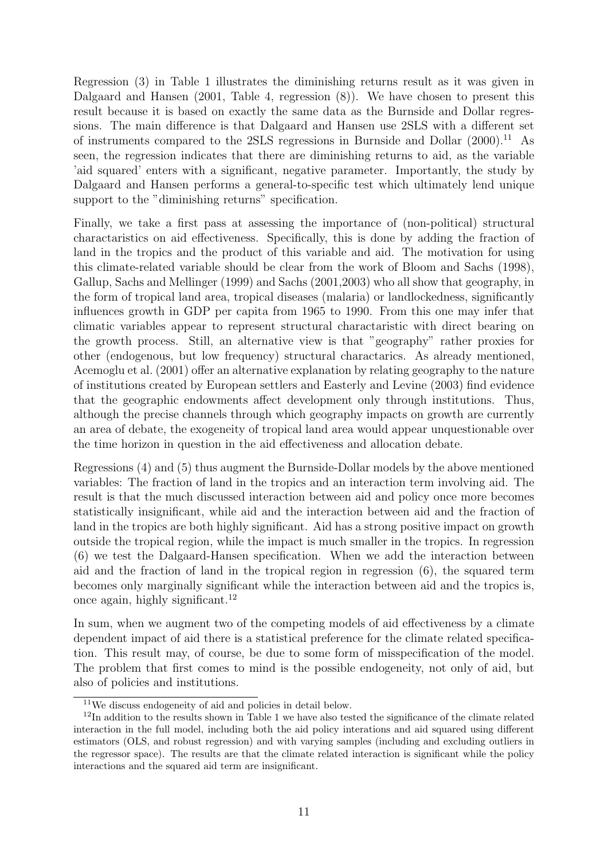Regression (3) in Table 1 illustrates the diminishing returns result as it was given in Dalgaard and Hansen (2001, Table 4, regression (8)). We have chosen to present this result because it is based on exactly the same data as the Burnside and Dollar regressions. The main difference is that Dalgaard and Hansen use 2SLS with a different set of instruments compared to the 2SLS regressions in Burnside and Dollar  $(2000)^{11}$  As seen, the regression indicates that there are diminishing returns to aid, as the variable 'aid squared' enters with a significant, negative parameter. Importantly, the study by Dalgaard and Hansen performs a general-to-specific test which ultimately lend unique support to the "diminishing returns" specification.

Finally, we take a first pass at assessing the importance of (non-political) structural charactaristics on aid effectiveness. Specifically, this is done by adding the fraction of land in the tropics and the product of this variable and aid. The motivation for using this climate-related variable should be clear from the work of Bloom and Sachs (1998), Gallup, Sachs and Mellinger (1999) and Sachs (2001,2003) who all show that geography, in the form of tropical land area, tropical diseases (malaria) or landlockedness, significantly influences growth in GDP per capita from 1965 to 1990. From this one may infer that climatic variables appear to represent structural charactaristic with direct bearing on the growth process. Still, an alternative view is that "geography" rather proxies for other (endogenous, but low frequency) structural charactarics. As already mentioned, Acemoglu et al. (2001) offer an alternative explanation by relating geography to the nature of institutions created by European settlers and Easterly and Levine (2003) find evidence that the geographic endowments affect development only through institutions. Thus, although the precise channels through which geography impacts on growth are currently an area of debate, the exogeneity of tropical land area would appear unquestionable over the time horizon in question in the aid effectiveness and allocation debate.

Regressions (4) and (5) thus augment the Burnside-Dollar models by the above mentioned variables: The fraction of land in the tropics and an interaction term involving aid. The result is that the much discussed interaction between aid and policy once more becomes statistically insignificant, while aid and the interaction between aid and the fraction of land in the tropics are both highly significant. Aid has a strong positive impact on growth outside the tropical region, while the impact is much smaller in the tropics. In regression (6) we test the Dalgaard-Hansen specification. When we add the interaction between aid and the fraction of land in the tropical region in regression (6), the squared term becomes only marginally significant while the interaction between aid and the tropics is, once again, highly significant.<sup>12</sup>

In sum, when we augment two of the competing models of aid effectiveness by a climate dependent impact of aid there is a statistical preference for the climate related specification. This result may, of course, be due to some form of misspecification of the model. The problem that first comes to mind is the possible endogeneity, not only of aid, but also of policies and institutions.

<sup>11</sup>We discuss endogeneity of aid and policies in detail below.

<sup>&</sup>lt;sup>12</sup>In addition to the results shown in Table 1 we have also tested the significance of the climate related interaction in the full model, including both the aid policy interations and aid squared using different estimators (OLS, and robust regression) and with varying samples (including and excluding outliers in the regressor space). The results are that the climate related interaction is significant while the policy interactions and the squared aid term are insignificant.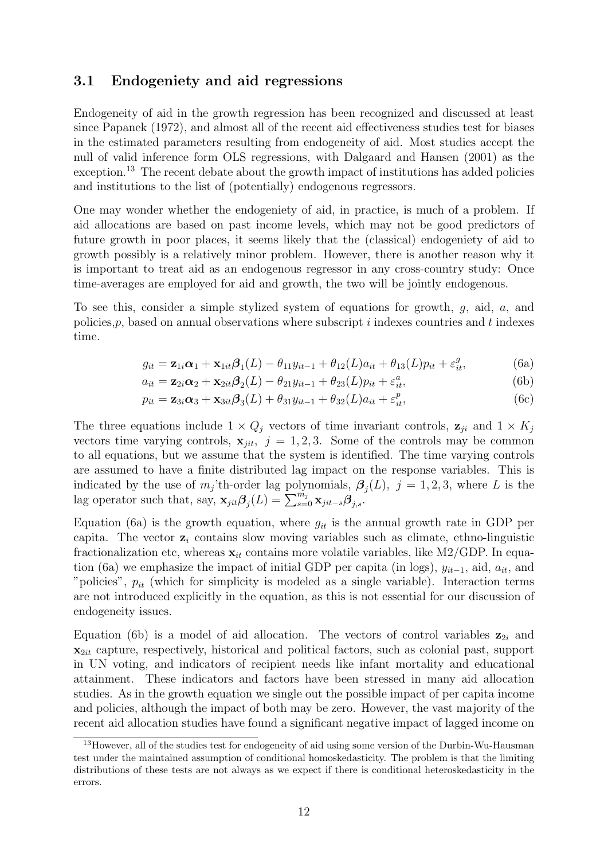#### 3.1 Endogeniety and aid regressions

Endogeneity of aid in the growth regression has been recognized and discussed at least since Papanek (1972), and almost all of the recent aid effectiveness studies test for biases in the estimated parameters resulting from endogeneity of aid. Most studies accept the null of valid inference form OLS regressions, with Dalgaard and Hansen (2001) as the exception.<sup>13</sup> The recent debate about the growth impact of institutions has added policies and institutions to the list of (potentially) endogenous regressors.

One may wonder whether the endogeniety of aid, in practice, is much of a problem. If aid allocations are based on past income levels, which may not be good predictors of future growth in poor places, it seems likely that the (classical) endogeniety of aid to growth possibly is a relatively minor problem. However, there is another reason why it is important to treat aid as an endogenous regressor in any cross-country study: Once time-averages are employed for aid and growth, the two will be jointly endogenous.

To see this, consider a simple stylized system of equations for growth,  $q$ , aid,  $a$ , and policies,  $p$ , based on annual observations where subscript i indexes countries and t indexes time.

$$
g_{it} = \mathbf{z}_{1i}\alpha_1 + \mathbf{x}_{1it}\beta_1(L) - \theta_{11}y_{it-1} + \theta_{12}(L)a_{it} + \theta_{13}(L)p_{it} + \varepsilon_{it}^g,
$$
(6a)

$$
a_{it} = \mathbf{z}_{2i}\alpha_2 + \mathbf{x}_{2it}\beta_2(L) - \theta_{21}y_{it-1} + \theta_{23}(L)p_{it} + \varepsilon_{it}^a,
$$
\n(6b)

$$
p_{it} = \mathbf{z}_{3i}\alpha_3 + \mathbf{x}_{3it}\beta_3(L) + \theta_{31}y_{it-1} + \theta_{32}(L)a_{it} + \varepsilon_{it}^p,
$$
\n(6c)

The three equations include  $1 \times Q_j$  vectors of time invariant controls,  $\mathbf{z}_{ji}$  and  $1 \times K_j$ vectors time varying controls,  $\mathbf{x}_{ijt}$ ,  $j = 1, 2, 3$ . Some of the controls may be common to all equations, but we assume that the system is identified. The time varying controls are assumed to have a finite distributed lag impact on the response variables. This is indicated by the use of  $m_j$ 'th-order lag polynomials,  $\mathcal{B}_j(L)$ ,  $j = 1, 2, 3$ , where L is the lag operator such that, say,  $\mathbf{x}_{jit} \boldsymbol{\beta}_j(L) = \sum_{s=0}^{m_j} \mathbf{x}_{jit-s} \boldsymbol{\beta}_{j,s}$ .

Equation (6a) is the growth equation, where  $g_{it}$  is the annual growth rate in GDP per capita. The vector  $z_i$  contains slow moving variables such as climate, ethno-linguistic fractionalization etc, whereas  $x_{it}$  contains more volatile variables, like M2/GDP. In equation (6a) we emphasize the impact of initial GDP per capita (in logs),  $y_{it-1}$ , aid,  $a_{it}$ , and "policies",  $p_{it}$  (which for simplicity is modeled as a single variable). Interaction terms are not introduced explicitly in the equation, as this is not essential for our discussion of endogeneity issues.

Equation (6b) is a model of aid allocation. The vectors of control variables  $z_{2i}$  and  $\mathbf{x}_{2it}$  capture, respectively, historical and political factors, such as colonial past, support in UN voting, and indicators of recipient needs like infant mortality and educational attainment. These indicators and factors have been stressed in many aid allocation studies. As in the growth equation we single out the possible impact of per capita income and policies, although the impact of both may be zero. However, the vast majority of the recent aid allocation studies have found a significant negative impact of lagged income on

<sup>13</sup>However, all of the studies test for endogeneity of aid using some version of the Durbin-Wu-Hausman test under the maintained assumption of conditional homoskedasticity. The problem is that the limiting distributions of these tests are not always as we expect if there is conditional heteroskedasticity in the errors.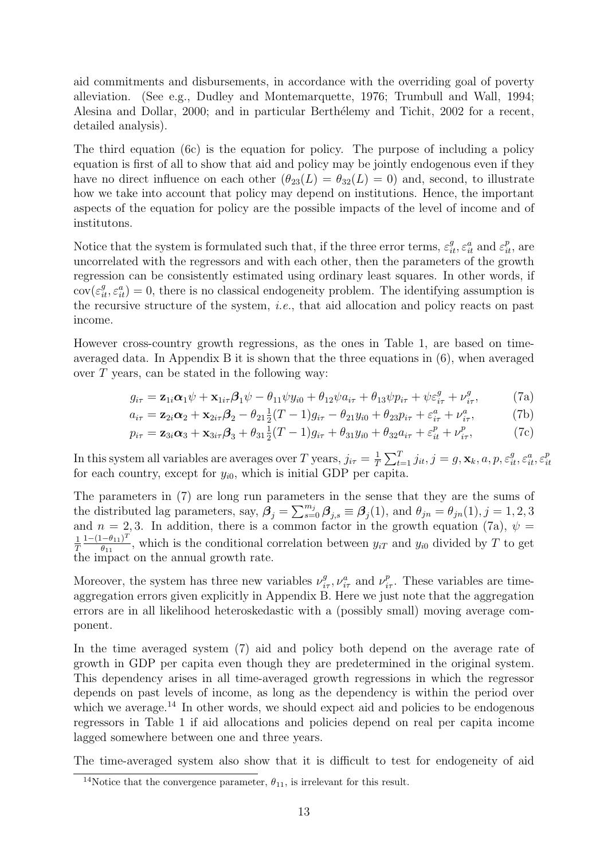aid commitments and disbursements, in accordance with the overriding goal of poverty alleviation. (See e.g., Dudley and Montemarquette, 1976; Trumbull and Wall, 1994; Alesina and Dollar, 2000; and in particular Berthélemy and Tichit, 2002 for a recent, detailed analysis).

The third equation (6c) is the equation for policy. The purpose of including a policy equation is first of all to show that aid and policy may be jointly endogenous even if they have no direct influence on each other  $(\theta_{23}(L) = \theta_{32}(L) = 0)$  and, second, to illustrate how we take into account that policy may depend on institutions. Hence, the important aspects of the equation for policy are the possible impacts of the level of income and of institutons.

Notice that the system is formulated such that, if the three error terms,  $\varepsilon_{it}^g$ ,  $\varepsilon_{it}^a$  and  $\varepsilon_{it}^p$ , are uncorrelated with the regressors and with each other, then the parameters of the growth regression can be consistently estimated using ordinary least squares. In other words, if  $cov(\varepsilon_{it}^g, \varepsilon_{it}^a) = 0$ , there is no classical endogeneity problem. The identifying assumption is the recursive structure of the system, *i.e.*, that aid allocation and policy reacts on past income.

However cross-country growth regressions, as the ones in Table 1, are based on timeaveraged data. In Appendix B it is shown that the three equations in (6), when averaged over  $T$  years, can be stated in the following way:

$$
g_{i\tau} = \mathbf{z}_{1i}\alpha_1\psi + \mathbf{x}_{1i\tau}\beta_1\psi - \theta_{11}\psi y_{i0} + \theta_{12}\psi a_{i\tau} + \theta_{13}\psi p_{i\tau} + \psi \varepsilon_{i\tau}^g + \nu_{i\tau}^g, \tag{7a}
$$

$$
a_{i\tau} = \mathbf{z}_{2i}\alpha_2 + \mathbf{x}_{2i\tau}\beta_2 - \theta_{21}\frac{1}{2}(T-1)g_{i\tau} - \theta_{21}y_{i0} + \theta_{23}p_{i\tau} + \varepsilon_{i\tau}^a + \nu_{i\tau}^a, \tag{7b}
$$

$$
p_{i\tau} = \mathbf{z}_{3i}\alpha_3 + \mathbf{x}_{3i\tau}\beta_3 + \theta_{31}\frac{1}{2}(T-1)g_{i\tau} + \theta_{31}y_{i0} + \theta_{32}a_{i\tau} + \varepsilon_{it}^p + \nu_{i\tau}^p, \tag{7c}
$$

In this system all variables are averages over T years,  $j_{i\tau} = \frac{1}{7}$  $\frac{1}{T}\sum_{t=1}^T j_{it}, j = g, \mathbf{x}_k, a, p, \varepsilon_{it}^g, \varepsilon_{it}^a, \varepsilon_{it}^p$ it for each country, except for  $y_{i0}$ , which is initial GDP per capita.

The parameters in (7) are long run parameters in the sense that they are the sums of the distributed lag parameters, say,  $\hat{\beta}_j = \sum_{s=0}^{m_j} \hat{\beta}_{j,s} \equiv \hat{\beta}_j(1)$ , and  $\hat{\theta}_{jn} = \hat{\theta}_{jn}(1), j = 1, 2, 3$ and  $n = 2, 3$ . In addition, there is a common factor in the growth equation (7a),  $\psi =$ 1 T  $1-(1-\theta_{11})^T$  $\frac{(-\theta_{11})^2}{\theta_{11}}$ , which is the conditional correlation between  $y_{iT}$  and  $y_{i0}$  divided by T to get the impact on the annual growth rate.

Moreover, the system has three new variables  $\nu_{i\tau}^g$ ,  $\nu_{i\tau}^a$  and  $\nu_{i\tau}^p$ . These variables are timeaggregation errors given explicitly in Appendix B. Here we just note that the aggregation errors are in all likelihood heteroskedastic with a (possibly small) moving average component.

In the time averaged system (7) aid and policy both depend on the average rate of growth in GDP per capita even though they are predetermined in the original system. This dependency arises in all time-averaged growth regressions in which the regressor depends on past levels of income, as long as the dependency is within the period over which we average.<sup>14</sup> In other words, we should expect aid and policies to be endogenous regressors in Table 1 if aid allocations and policies depend on real per capita income lagged somewhere between one and three years.

The time-averaged system also show that it is difficult to test for endogeneity of aid

<sup>&</sup>lt;sup>14</sup>Notice that the convergence parameter,  $\theta_{11}$ , is irrelevant for this result.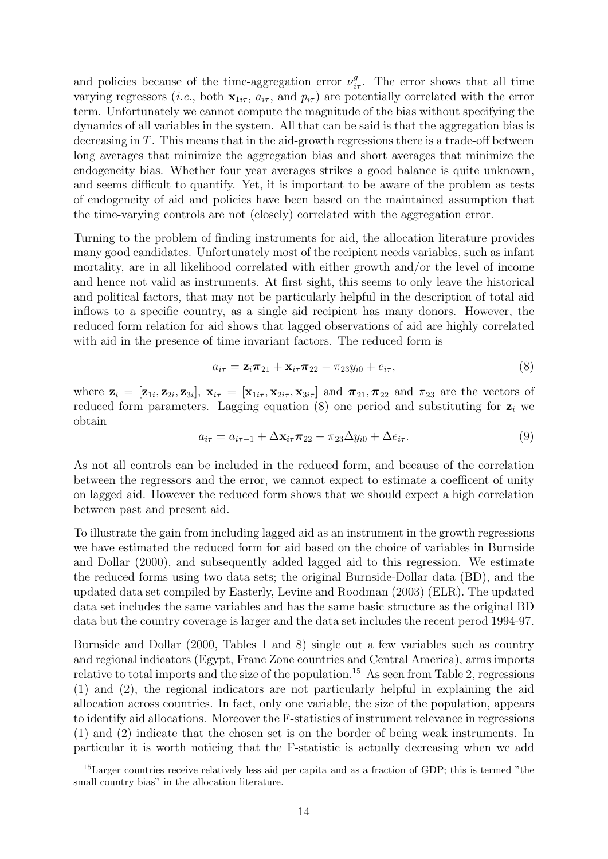and policies because of the time-aggregation error  $\nu_{i\tau}^{g}$ . The error shows that all time varying regressors (*i.e.*, both  $\mathbf{x}_{1i\tau}$ ,  $a_{i\tau}$ , and  $p_{i\tau}$ ) are potentially correlated with the error term. Unfortunately we cannot compute the magnitude of the bias without specifying the dynamics of all variables in the system. All that can be said is that the aggregation bias is decreasing in T. This means that in the aid-growth regressions there is a trade-off between long averages that minimize the aggregation bias and short averages that minimize the endogeneity bias. Whether four year averages strikes a good balance is quite unknown, and seems difficult to quantify. Yet, it is important to be aware of the problem as tests of endogeneity of aid and policies have been based on the maintained assumption that the time-varying controls are not (closely) correlated with the aggregation error.

Turning to the problem of finding instruments for aid, the allocation literature provides many good candidates. Unfortunately most of the recipient needs variables, such as infant mortality, are in all likelihood correlated with either growth and/or the level of income and hence not valid as instruments. At first sight, this seems to only leave the historical and political factors, that may not be particularly helpful in the description of total aid inflows to a specific country, as a single aid recipient has many donors. However, the reduced form relation for aid shows that lagged observations of aid are highly correlated with aid in the presence of time invariant factors. The reduced form is

$$
a_{i\tau} = \mathbf{z}_i \boldsymbol{\pi}_{21} + \mathbf{x}_{i\tau} \boldsymbol{\pi}_{22} - \boldsymbol{\pi}_{23} y_{i0} + e_{i\tau}, \tag{8}
$$

where  $\mathbf{z}_i = [\mathbf{z}_{1i}, \mathbf{z}_{2i}, \mathbf{z}_{3i}], \mathbf{x}_{i\tau} = [\mathbf{x}_{1i\tau}, \mathbf{x}_{2i\tau}, \mathbf{x}_{3i\tau}]$  and  $\pi_{21}, \pi_{22}$  and  $\pi_{23}$  are the vectors of reduced form parameters. Lagging equation  $(8)$  one period and substituting for  $z_i$  we obtain

$$
a_{i\tau} = a_{i\tau - 1} + \Delta \mathbf{x}_{i\tau} \boldsymbol{\pi}_{22} - \pi_{23} \Delta y_{i0} + \Delta e_{i\tau}.
$$
\n
$$
(9)
$$

As not all controls can be included in the reduced form, and because of the correlation between the regressors and the error, we cannot expect to estimate a coefficent of unity on lagged aid. However the reduced form shows that we should expect a high correlation between past and present aid.

To illustrate the gain from including lagged aid as an instrument in the growth regressions we have estimated the reduced form for aid based on the choice of variables in Burnside and Dollar (2000), and subsequently added lagged aid to this regression. We estimate the reduced forms using two data sets; the original Burnside-Dollar data (BD), and the updated data set compiled by Easterly, Levine and Roodman (2003) (ELR). The updated data set includes the same variables and has the same basic structure as the original BD data but the country coverage is larger and the data set includes the recent perod 1994-97.

Burnside and Dollar (2000, Tables 1 and 8) single out a few variables such as country and regional indicators (Egypt, Franc Zone countries and Central America), arms imports relative to total imports and the size of the population.<sup>15</sup> As seen from Table 2, regressions (1) and (2), the regional indicators are not particularly helpful in explaining the aid allocation across countries. In fact, only one variable, the size of the population, appears to identify aid allocations. Moreover the F-statistics of instrument relevance in regressions (1) and (2) indicate that the chosen set is on the border of being weak instruments. In particular it is worth noticing that the F-statistic is actually decreasing when we add

<sup>15</sup>Larger countries receive relatively less aid per capita and as a fraction of GDP; this is termed "the small country bias" in the allocation literature.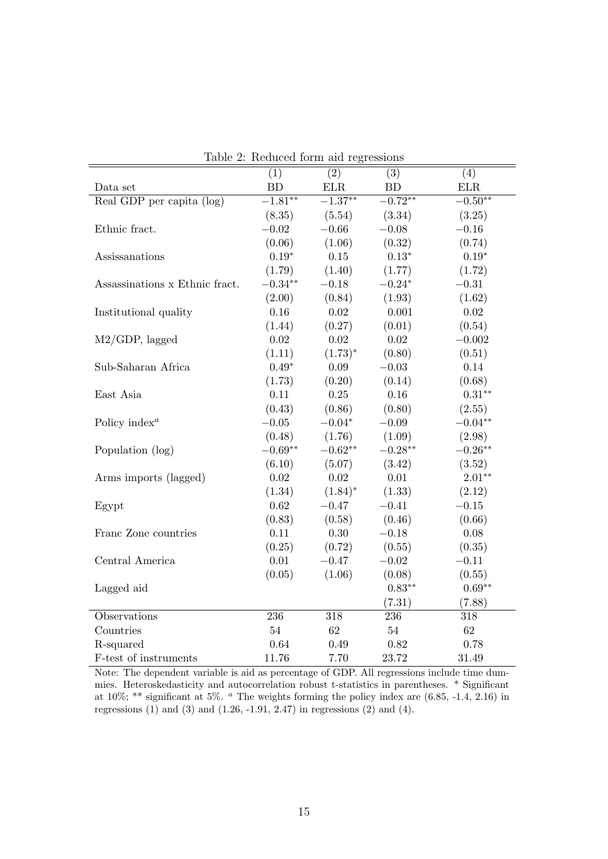|                                        | (1)              | (2)                  | (3)       | (4)       |
|----------------------------------------|------------------|----------------------|-----------|-----------|
| Data set                               | BD               | $\operatorname{ELR}$ | BD        | ELR       |
| Real GDP per capita (log)              | $-1.81***$       | $-1.37***$           | $-0.72**$ | $-0.50**$ |
|                                        | (8.35)           | (5.54)               | (3.34)    | (3.25)    |
| Ethnic fract.                          | $-0.02$          | $-0.66$              | $-0.08$   | $-0.16$   |
|                                        | (0.06)           | (1.06)               | (0.32)    | (0.74)    |
| Assissanations                         | $0.19*$          | 0.15                 | $0.13*$   | $0.19*$   |
|                                        | (1.79)           | (1.40)               | (1.77)    | (1.72)    |
| Assassinations x Ethnic fract.         | $-0.34***$       | $-0.18$              | $-0.24*$  | $-0.31$   |
|                                        | (2.00)           | (0.84)               | (1.93)    | (1.62)    |
| Institutional quality                  | 0.16             | 0.02                 | 0.001     | $0.02\,$  |
|                                        | (1.44)           | (0.27)               | (0.01)    | (0.54)    |
| $M2/GDP$ , lagged                      | $0.02\,$         | $0.02\,$             | $0.02\,$  | $-0.002$  |
|                                        | (1.11)           | $(1.73)^*$           | (0.80)    | (0.51)    |
| Sub-Saharan Africa                     | $0.49*$          | 0.09                 | $-0.03$   | 0.14      |
|                                        | (1.73)           | (0.20)               | (0.14)    | (0.68)    |
| East Asia                              | 0.11             | 0.25                 | $0.16\,$  | $0.31***$ |
|                                        | (0.43)           | (0.86)               | (0.80)    | (2.55)    |
| Policy index <sup><math>a</math></sup> | $-0.05$          | $-0.04*$             | $-0.09$   | $-0.04**$ |
|                                        | (0.48)           | (1.76)               | (1.09)    | (2.98)    |
| Population (log)                       | $-0.69**$        | $-0.62**$            | $-0.28**$ | $-0.26**$ |
|                                        | (6.10)           | (5.07)               | (3.42)    | (3.52)    |
| Arms imports (lagged)                  | 0.02             | 0.02                 | 0.01      | $2.01***$ |
|                                        | (1.34)           | $(1.84)^*$           | (1.33)    | (2.12)    |
| Egypt                                  | 0.62             | $-0.47$              | $-0.41$   | $-0.15$   |
|                                        | (0.83)           | (0.58)               | (0.46)    | (0.66)    |
| Franc Zone countries                   | 0.11             | 0.30                 | $-0.18$   | 0.08      |
|                                        | (0.25)           | (0.72)               | (0.55)    | (0.35)    |
| Central America                        | 0.01             | $-0.47$              | $-0.02$   | $-0.11$   |
|                                        | (0.05)           | (1.06)               | (0.08)    | (0.55)    |
| Lagged aid                             |                  |                      | $0.83**$  | $0.69**$  |
|                                        |                  |                      | (7.31)    | (7.88)    |
| Observations                           | $\overline{236}$ | 318                  | 236       | 318       |
| Countries                              | 54               | 62                   | 54        | 62        |
| R-squared                              | 0.64             | 0.49                 | 0.82      | 0.78      |
| F-test of instruments                  | 11.76            | 7.70                 | 23.72     | 31.49     |

Table 2: Reduced form aid regressions

Note: The dependent variable is aid as percentage of GDP. All regressions include time dummies. Heteroskedasticity and autocorrelation robust t-statistics in parentheses. \* Significant at 10%; \*\* significant at 5%.  $\alpha$  The weights forming the policy index are  $(6.85, -1.4, 2.16)$  in regressions  $(1)$  and  $(3)$  and  $(1.26, -1.91, 2.47)$  in regressions  $(2)$  and  $(4)$ .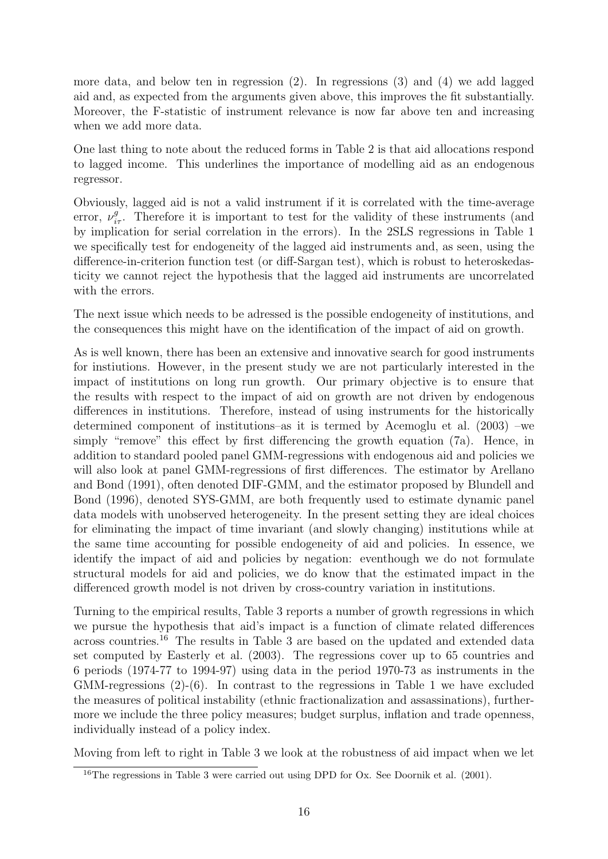more data, and below ten in regression (2). In regressions (3) and (4) we add lagged aid and, as expected from the arguments given above, this improves the fit substantially. Moreover, the F-statistic of instrument relevance is now far above ten and increasing when we add more data.

One last thing to note about the reduced forms in Table 2 is that aid allocations respond to lagged income. This underlines the importance of modelling aid as an endogenous regressor.

Obviously, lagged aid is not a valid instrument if it is correlated with the time-average error,  $\nu_{i\tau}^{g}$ . Therefore it is important to test for the validity of these instruments (and by implication for serial correlation in the errors). In the 2SLS regressions in Table 1 we specifically test for endogeneity of the lagged aid instruments and, as seen, using the difference-in-criterion function test (or diff-Sargan test), which is robust to heteroskedasticity we cannot reject the hypothesis that the lagged aid instruments are uncorrelated with the errors.

The next issue which needs to be adressed is the possible endogeneity of institutions, and the consequences this might have on the identification of the impact of aid on growth.

As is well known, there has been an extensive and innovative search for good instruments for instiutions. However, in the present study we are not particularly interested in the impact of institutions on long run growth. Our primary objective is to ensure that the results with respect to the impact of aid on growth are not driven by endogenous differences in institutions. Therefore, instead of using instruments for the historically determined component of institutions–as it is termed by Acemoglu et al. (2003) –we simply "remove" this effect by first differencing the growth equation (7a). Hence, in addition to standard pooled panel GMM-regressions with endogenous aid and policies we will also look at panel GMM-regressions of first differences. The estimator by Arellano and Bond (1991), often denoted DIF-GMM, and the estimator proposed by Blundell and Bond (1996), denoted SYS-GMM, are both frequently used to estimate dynamic panel data models with unobserved heterogeneity. In the present setting they are ideal choices for eliminating the impact of time invariant (and slowly changing) institutions while at the same time accounting for possible endogeneity of aid and policies. In essence, we identify the impact of aid and policies by negation: eventhough we do not formulate structural models for aid and policies, we do know that the estimated impact in the differenced growth model is not driven by cross-country variation in institutions.

Turning to the empirical results, Table 3 reports a number of growth regressions in which we pursue the hypothesis that aid's impact is a function of climate related differences across countries.<sup>16</sup> The results in Table 3 are based on the updated and extended data set computed by Easterly et al. (2003). The regressions cover up to 65 countries and 6 periods (1974-77 to 1994-97) using data in the period 1970-73 as instruments in the GMM-regressions (2)-(6). In contrast to the regressions in Table 1 we have excluded the measures of political instability (ethnic fractionalization and assassinations), furthermore we include the three policy measures; budget surplus, inflation and trade openness, individually instead of a policy index.

Moving from left to right in Table 3 we look at the robustness of aid impact when we let

<sup>&</sup>lt;sup>16</sup>The regressions in Table 3 were carried out using DPD for Ox. See Doornik et al. (2001).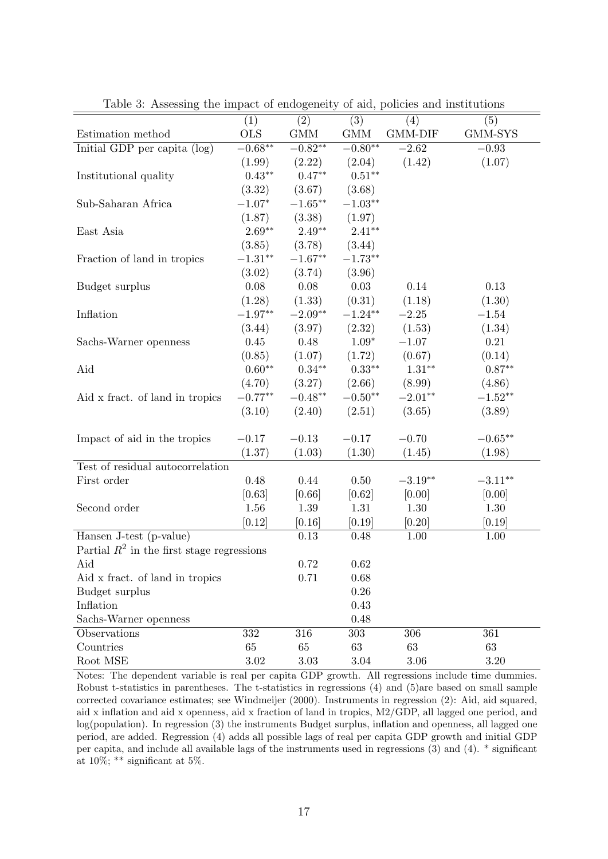| Lable 9. Trocosing the impact of endogeneity of any poncles and motivations |            |            |            |           |            |
|-----------------------------------------------------------------------------|------------|------------|------------|-----------|------------|
|                                                                             | (1)        | (2)        | (3)        | (4)       | (5)        |
| Estimation method                                                           | <b>OLS</b> | <b>GMM</b> | <b>GMM</b> | GMM-DIF   | GMM-SYS    |
| Initial GDP per capita (log)                                                | $-0.68***$ | $-0.82**$  | $-0.80**$  | $-2.62$   | $-0.93$    |
|                                                                             | (1.99)     | (2.22)     | (2.04)     | (1.42)    | (1.07)     |
| Institutional quality                                                       | $0.43***$  | $0.47**$   | $0.51***$  |           |            |
|                                                                             | (3.32)     | (3.67)     | (3.68)     |           |            |
| Sub-Saharan Africa                                                          | $-1.07*$   | $-1.65***$ | $-1.03**$  |           |            |
|                                                                             | (1.87)     | (3.38)     | (1.97)     |           |            |
| East Asia                                                                   | $2.69**$   | $2.49**$   | $2.41**$   |           |            |
|                                                                             | (3.85)     | (3.78)     | (3.44)     |           |            |
| Fraction of land in tropics                                                 | $-1.31***$ | $-1.67**$  | $-1.73**$  |           |            |
|                                                                             | (3.02)     | (3.74)     | (3.96)     |           |            |
| Budget surplus                                                              | 0.08       | 0.08       | 0.03       | 0.14      | 0.13       |
|                                                                             | (1.28)     | (1.33)     | (0.31)     | (1.18)    | (1.30)     |
| Inflation                                                                   | $-1.97**$  | $-2.09**$  | $-1.24**$  | $-2.25$   | $-1.54$    |
|                                                                             | (3.44)     | (3.97)     | (2.32)     | (1.53)    | (1.34)     |
| Sachs-Warner openness                                                       | 0.45       | 0.48       | $1.09*$    | $-1.07$   | 0.21       |
|                                                                             | (0.85)     | (1.07)     | (1.72)     | (0.67)    | (0.14)     |
| Aid                                                                         | $0.60**$   | $0.34***$  | $0.33**$   | $1.31***$ | $0.87**$   |
|                                                                             | (4.70)     | (3.27)     | (2.66)     | (8.99)    | (4.86)     |
| Aid x fract. of land in tropics                                             | $-0.77**$  | $-0.48**$  | $-0.50**$  | $-2.01**$ | $-1.52**$  |
|                                                                             | (3.10)     | (2.40)     | (2.51)     | (3.65)    | (3.89)     |
|                                                                             |            |            |            |           |            |
| Impact of aid in the tropics                                                | $-0.17$    | $-0.13$    | $-0.17$    | $-0.70$   | $-0.65***$ |
|                                                                             | (1.37)     | (1.03)     | (1.30)     | (1.45)    | (1.98)     |
| Test of residual autocorrelation                                            |            |            |            |           |            |
| First order                                                                 | 0.48       | 0.44       | 0.50       | $-3.19**$ | $-3.11**$  |
|                                                                             | [0.63]     | [0.66]     | [0.62]     | [0.00]    | [0.00]     |
| Second order                                                                | 1.56       | 1.39       | 1.31       | 1.30      | 1.30       |
|                                                                             | [0.12]     | [0.16]     | [0.19]     | [0.20]    | [0.19]     |
| Hansen J-test (p-value)                                                     |            | 0.13       | 0.48       | 1.00      | $1.00\,$   |
| Partial $R^2$ in the first stage regressions                                |            |            |            |           |            |
| Aid                                                                         |            | $0.72\,$   | $\,0.62\,$ |           |            |
| Aid x fract. of land in tropics                                             |            | 0.71       | 0.68       |           |            |
| Budget surplus                                                              |            |            | 0.26       |           |            |
| Inflation                                                                   |            |            | 0.43       |           |            |
| Sachs-Warner openness                                                       |            |            | 0.48       |           |            |
| Observations                                                                | 332        | 316        | 303        | 306       | 361        |
| Countries                                                                   | 65         | 65         | 63         | 63        | 63         |
| Root MSE                                                                    | $3.02\,$   | $3.03\,$   | 3.04       | $3.06\,$  | $3.20\,$   |

Table 3: Assessing the impact of endogeneity of aid, policies and institutions

Notes: The dependent variable is real per capita GDP growth. All regressions include time dummies. Robust t-statistics in parentheses. The t-statistics in regressions (4) and (5)are based on small sample corrected covariance estimates; see Windmeijer (2000). Instruments in regression (2): Aid, aid squared, aid x inflation and aid x openness, aid x fraction of land in tropics, M2/GDP, all lagged one period, and log(population). In regression (3) the instruments Budget surplus, inflation and openness, all lagged one period, are added. Regression (4) adds all possible lags of real per capita GDP growth and initial GDP per capita, and include all available lags of the instruments used in regressions (3) and (4). \* significant at  $10\%$ ; \*\* significant at 5%.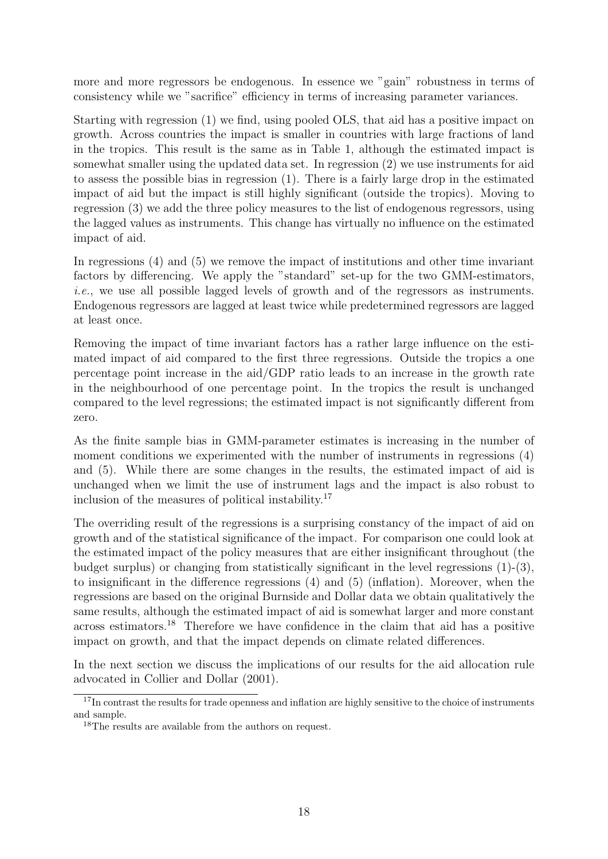more and more regressors be endogenous. In essence we "gain" robustness in terms of consistency while we "sacrifice" efficiency in terms of increasing parameter variances.

Starting with regression (1) we find, using pooled OLS, that aid has a positive impact on growth. Across countries the impact is smaller in countries with large fractions of land in the tropics. This result is the same as in Table 1, although the estimated impact is somewhat smaller using the updated data set. In regression (2) we use instruments for aid to assess the possible bias in regression (1). There is a fairly large drop in the estimated impact of aid but the impact is still highly significant (outside the tropics). Moving to regression (3) we add the three policy measures to the list of endogenous regressors, using the lagged values as instruments. This change has virtually no influence on the estimated impact of aid.

In regressions (4) and (5) we remove the impact of institutions and other time invariant factors by differencing. We apply the "standard" set-up for the two GMM-estimators, i.e., we use all possible lagged levels of growth and of the regressors as instruments. Endogenous regressors are lagged at least twice while predetermined regressors are lagged at least once.

Removing the impact of time invariant factors has a rather large influence on the estimated impact of aid compared to the first three regressions. Outside the tropics a one percentage point increase in the aid/GDP ratio leads to an increase in the growth rate in the neighbourhood of one percentage point. In the tropics the result is unchanged compared to the level regressions; the estimated impact is not significantly different from zero.

As the finite sample bias in GMM-parameter estimates is increasing in the number of moment conditions we experimented with the number of instruments in regressions (4) and (5). While there are some changes in the results, the estimated impact of aid is unchanged when we limit the use of instrument lags and the impact is also robust to inclusion of the measures of political instability.<sup>17</sup>

The overriding result of the regressions is a surprising constancy of the impact of aid on growth and of the statistical significance of the impact. For comparison one could look at the estimated impact of the policy measures that are either insignificant throughout (the budget surplus) or changing from statistically significant in the level regressions  $(1)-(3)$ , to insignificant in the difference regressions (4) and (5) (inflation). Moreover, when the regressions are based on the original Burnside and Dollar data we obtain qualitatively the same results, although the estimated impact of aid is somewhat larger and more constant across estimators.<sup>18</sup> Therefore we have confidence in the claim that aid has a positive impact on growth, and that the impact depends on climate related differences.

In the next section we discuss the implications of our results for the aid allocation rule advocated in Collier and Dollar (2001).

<sup>&</sup>lt;sup>17</sup>In contrast the results for trade openness and inflation are highly sensitive to the choice of instruments and sample.

<sup>18</sup>The results are available from the authors on request.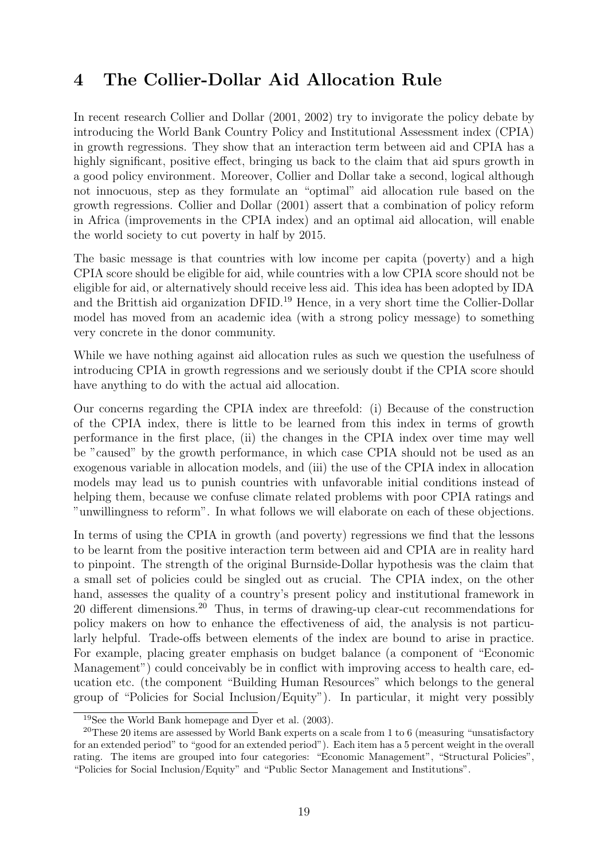## 4 The Collier-Dollar Aid Allocation Rule

In recent research Collier and Dollar (2001, 2002) try to invigorate the policy debate by introducing the World Bank Country Policy and Institutional Assessment index (CPIA) in growth regressions. They show that an interaction term between aid and CPIA has a highly significant, positive effect, bringing us back to the claim that aid spurs growth in a good policy environment. Moreover, Collier and Dollar take a second, logical although not innocuous, step as they formulate an "optimal" aid allocation rule based on the growth regressions. Collier and Dollar (2001) assert that a combination of policy reform in Africa (improvements in the CPIA index) and an optimal aid allocation, will enable the world society to cut poverty in half by 2015.

The basic message is that countries with low income per capita (poverty) and a high CPIA score should be eligible for aid, while countries with a low CPIA score should not be eligible for aid, or alternatively should receive less aid. This idea has been adopted by IDA and the Brittish aid organization DFID.<sup>19</sup> Hence, in a very short time the Collier-Dollar model has moved from an academic idea (with a strong policy message) to something very concrete in the donor community.

While we have nothing against aid allocation rules as such we question the usefulness of introducing CPIA in growth regressions and we seriously doubt if the CPIA score should have anything to do with the actual aid allocation.

Our concerns regarding the CPIA index are threefold: (i) Because of the construction of the CPIA index, there is little to be learned from this index in terms of growth performance in the first place, (ii) the changes in the CPIA index over time may well be "caused" by the growth performance, in which case CPIA should not be used as an exogenous variable in allocation models, and (iii) the use of the CPIA index in allocation models may lead us to punish countries with unfavorable initial conditions instead of helping them, because we confuse climate related problems with poor CPIA ratings and "unwillingness to reform". In what follows we will elaborate on each of these objections.

In terms of using the CPIA in growth (and poverty) regressions we find that the lessons to be learnt from the positive interaction term between aid and CPIA are in reality hard to pinpoint. The strength of the original Burnside-Dollar hypothesis was the claim that a small set of policies could be singled out as crucial. The CPIA index, on the other hand, assesses the quality of a country's present policy and institutional framework in 20 different dimensions.<sup>20</sup> Thus, in terms of drawing-up clear-cut recommendations for policy makers on how to enhance the effectiveness of aid, the analysis is not particularly helpful. Trade-offs between elements of the index are bound to arise in practice. For example, placing greater emphasis on budget balance (a component of "Economic Management") could conceivably be in conflict with improving access to health care, education etc. (the component "Building Human Resources" which belongs to the general group of "Policies for Social Inclusion/Equity"). In particular, it might very possibly

<sup>19</sup>See the World Bank homepage and Dyer et al. (2003).

 $20$ These 20 items are assessed by World Bank experts on a scale from 1 to 6 (measuring "unsatisfactory" for an extended period" to "good for an extended period"). Each item has a 5 percent weight in the overall rating. The items are grouped into four categories: "Economic Management", "Structural Policies", "Policies for Social Inclusion/Equity" and "Public Sector Management and Institutions".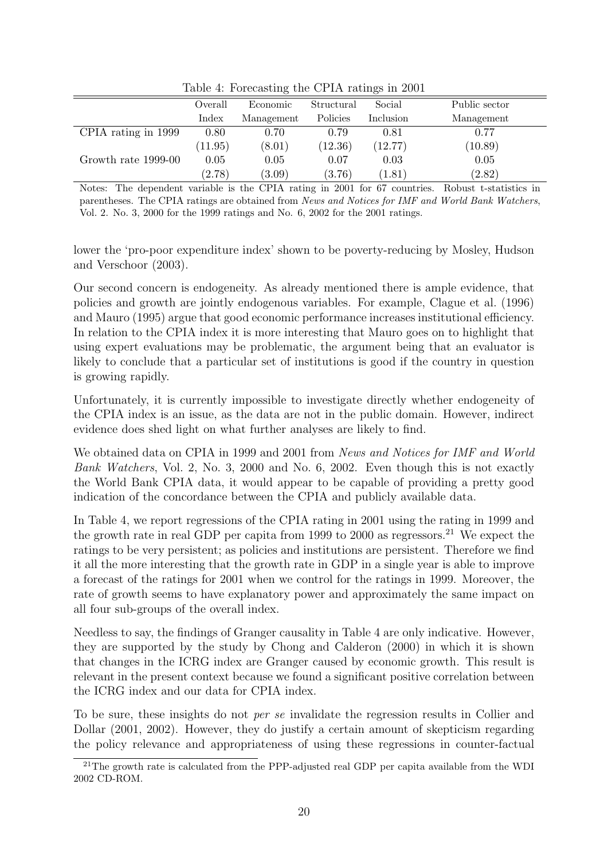|                     | Overall | Economic   | Structural | Social    | Public sector |  |
|---------------------|---------|------------|------------|-----------|---------------|--|
|                     | Index   | Management | Policies   | Inclusion | Management    |  |
| CPIA rating in 1999 | 0.80    | 0.70       | 0.79       | 0.81      | 0.77          |  |
|                     | (11.95) | (8.01)     | (12.36)    | (12.77)   | (10.89)       |  |
| Growth rate 1999-00 | 0.05    | 0.05       | 0.07       | 0.03      | 0.05          |  |
|                     | (2.78)  | (3.09)     | (3.76)     | (1.81)    | (2.82)        |  |

Table 4: Forecasting the CPIA ratings in 2001

Notes: The dependent variable is the CPIA rating in 2001 for 67 countries. Robust t-statistics in parentheses. The CPIA ratings are obtained from News and Notices for IMF and World Bank Watchers, Vol. 2. No. 3, 2000 for the 1999 ratings and No. 6, 2002 for the 2001 ratings.

lower the 'pro-poor expenditure index' shown to be poverty-reducing by Mosley, Hudson and Verschoor (2003).

Our second concern is endogeneity. As already mentioned there is ample evidence, that policies and growth are jointly endogenous variables. For example, Clague et al. (1996) and Mauro (1995) argue that good economic performance increases institutional efficiency. In relation to the CPIA index it is more interesting that Mauro goes on to highlight that using expert evaluations may be problematic, the argument being that an evaluator is likely to conclude that a particular set of institutions is good if the country in question is growing rapidly.

Unfortunately, it is currently impossible to investigate directly whether endogeneity of the CPIA index is an issue, as the data are not in the public domain. However, indirect evidence does shed light on what further analyses are likely to find.

We obtained data on CPIA in 1999 and 2001 from News and Notices for IMF and World Bank Watchers, Vol. 2, No. 3, 2000 and No. 6, 2002. Even though this is not exactly the World Bank CPIA data, it would appear to be capable of providing a pretty good indication of the concordance between the CPIA and publicly available data.

In Table 4, we report regressions of the CPIA rating in 2001 using the rating in 1999 and the growth rate in real GDP per capita from 1999 to 2000 as regressors.<sup>21</sup> We expect the ratings to be very persistent; as policies and institutions are persistent. Therefore we find it all the more interesting that the growth rate in GDP in a single year is able to improve a forecast of the ratings for 2001 when we control for the ratings in 1999. Moreover, the rate of growth seems to have explanatory power and approximately the same impact on all four sub-groups of the overall index.

Needless to say, the findings of Granger causality in Table 4 are only indicative. However, they are supported by the study by Chong and Calderon (2000) in which it is shown that changes in the ICRG index are Granger caused by economic growth. This result is relevant in the present context because we found a significant positive correlation between the ICRG index and our data for CPIA index.

To be sure, these insights do not per se invalidate the regression results in Collier and Dollar (2001, 2002). However, they do justify a certain amount of skepticism regarding the policy relevance and appropriateness of using these regressions in counter-factual

<sup>&</sup>lt;sup>21</sup>The growth rate is calculated from the PPP-adjusted real GDP per capita available from the WDI 2002 CD-ROM.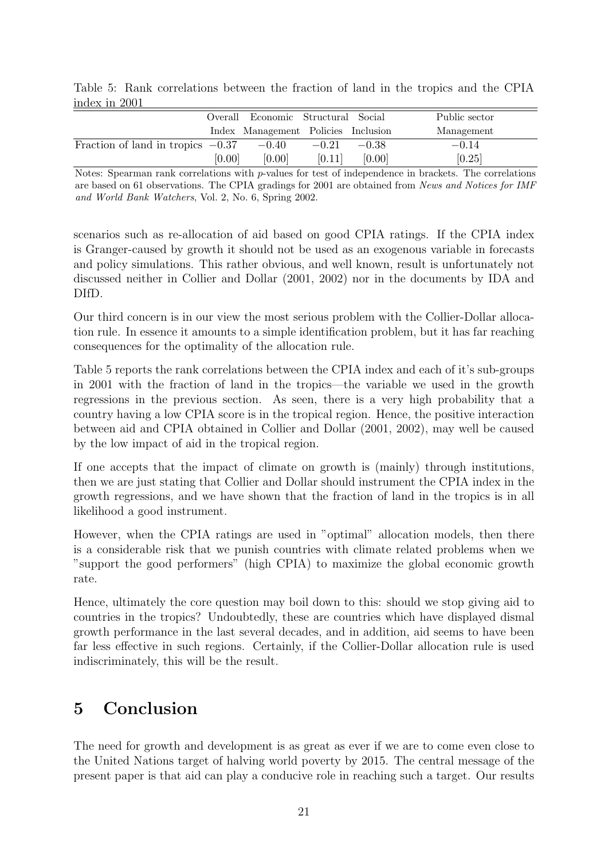| $MUCV$ III $ZUVI$                   |         |                                     |         |         |               |
|-------------------------------------|---------|-------------------------------------|---------|---------|---------------|
|                                     | Overall | Economic Structural Social          |         |         | Public sector |
|                                     |         | Index Management Policies Inclusion |         |         | Management    |
| Fraction of land in tropics $-0.37$ |         | $-0.40$                             | $-0.21$ | $-0.38$ | $-0.14$       |
|                                     | [0.00]  | [0.00]                              | [0.11]  | [0.00]  | [0.25]        |

Table 5: Rank correlations between the fraction of land in the tropics and the CPIA  $ind_{\alpha}$  in  $2001$ 

Notes: Spearman rank correlations with  $p$ -values for test of independence in brackets. The correlations are based on 61 observations. The CPIA gradings for 2001 are obtained from News and Notices for IMF and World Bank Watchers, Vol. 2, No. 6, Spring 2002.

scenarios such as re-allocation of aid based on good CPIA ratings. If the CPIA index is Granger-caused by growth it should not be used as an exogenous variable in forecasts and policy simulations. This rather obvious, and well known, result is unfortunately not discussed neither in Collier and Dollar (2001, 2002) nor in the documents by IDA and DIfD.

Our third concern is in our view the most serious problem with the Collier-Dollar allocation rule. In essence it amounts to a simple identification problem, but it has far reaching consequences for the optimality of the allocation rule.

Table 5 reports the rank correlations between the CPIA index and each of it's sub-groups in 2001 with the fraction of land in the tropics—the variable we used in the growth regressions in the previous section. As seen, there is a very high probability that a country having a low CPIA score is in the tropical region. Hence, the positive interaction between aid and CPIA obtained in Collier and Dollar (2001, 2002), may well be caused by the low impact of aid in the tropical region.

If one accepts that the impact of climate on growth is (mainly) through institutions, then we are just stating that Collier and Dollar should instrument the CPIA index in the growth regressions, and we have shown that the fraction of land in the tropics is in all likelihood a good instrument.

However, when the CPIA ratings are used in "optimal" allocation models, then there is a considerable risk that we punish countries with climate related problems when we "support the good performers" (high CPIA) to maximize the global economic growth rate.

Hence, ultimately the core question may boil down to this: should we stop giving aid to countries in the tropics? Undoubtedly, these are countries which have displayed dismal growth performance in the last several decades, and in addition, aid seems to have been far less effective in such regions. Certainly, if the Collier-Dollar allocation rule is used indiscriminately, this will be the result.

## 5 Conclusion

The need for growth and development is as great as ever if we are to come even close to the United Nations target of halving world poverty by 2015. The central message of the present paper is that aid can play a conducive role in reaching such a target. Our results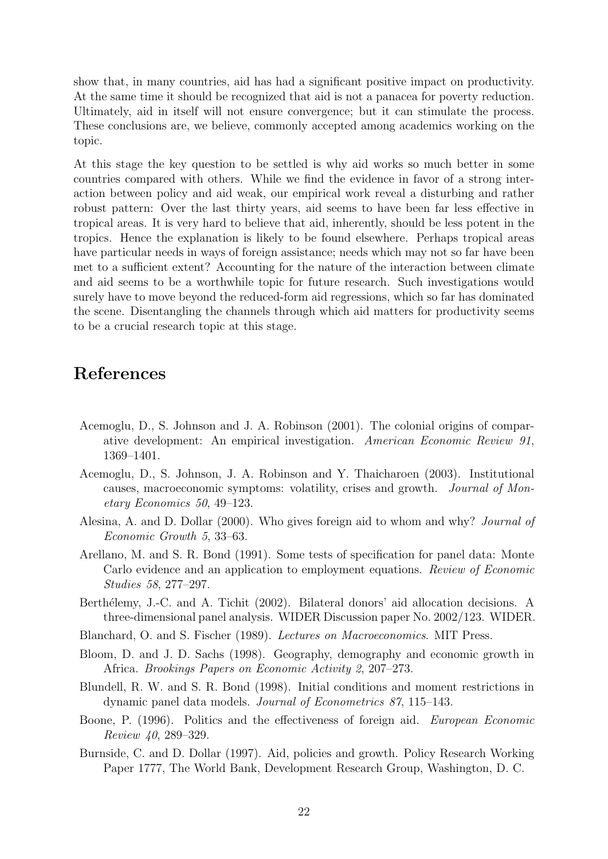show that, in many countries, aid has had a significant positive impact on productivity. At the same time it should be recognized that aid is not a panacea for poverty reduction. Ultimately, aid in itself will not ensure convergence; but it can stimulate the process. These conclusions are, we believe, commonly accepted among academics working on the topic.

At this stage the key question to be settled is why aid works so much better in some countries compared with others. While we find the evidence in favor of a strong interaction between policy and aid weak, our empirical work reveal a disturbing and rather robust pattern: Over the last thirty years, aid seems to have been far less effective in tropical areas. It is very hard to believe that aid, inherently, should be less potent in the tropics. Hence the explanation is likely to be found elsewhere. Perhaps tropical areas have particular needs in ways of foreign assistance; needs which may not so far have been met to a sufficient extent? Accounting for the nature of the interaction between climate and aid seems to be a worthwhile topic for future research. Such investigations would surely have to move beyond the reduced-form aid regressions, which so far has dominated the scene. Disentangling the channels through which aid matters for productivity seems to be a crucial research topic at this stage.

### References

- Acemoglu, D., S. Johnson and J. A. Robinson (2001). The colonial origins of comparative development: An empirical investigation. American Economic Review 91, 1369–1401.
- Acemoglu, D., S. Johnson, J. A. Robinson and Y. Thaicharoen (2003). Institutional causes, macroeconomic symptoms: volatility, crises and growth. Journal of Monetary Economics 50, 49–123.
- Alesina, A. and D. Dollar (2000). Who gives foreign aid to whom and why? Journal of Economic Growth 5, 33–63.
- Arellano, M. and S. R. Bond (1991). Some tests of specification for panel data: Monte Carlo evidence and an application to employment equations. Review of Economic Studies 58, 277–297.
- Berthélemy, J.-C. and A. Tichit (2002). Bilateral donors' aid allocation decisions. A three-dimensional panel analysis. WIDER Discussion paper No. 2002/123. WIDER.
- Blanchard, O. and S. Fischer (1989). Lectures on Macroeconomics. MIT Press.
- Bloom, D. and J. D. Sachs (1998). Geography, demography and economic growth in Africa. Brookings Papers on Economic Activity 2, 207–273.
- Blundell, R. W. and S. R. Bond (1998). Initial conditions and moment restrictions in dynamic panel data models. Journal of Econometrics 87, 115–143.
- Boone, P. (1996). Politics and the effectiveness of foreign aid. European Economic Review 40, 289–329.
- Burnside, C. and D. Dollar (1997). Aid, policies and growth. Policy Research Working Paper 1777, The World Bank, Development Research Group, Washington, D. C.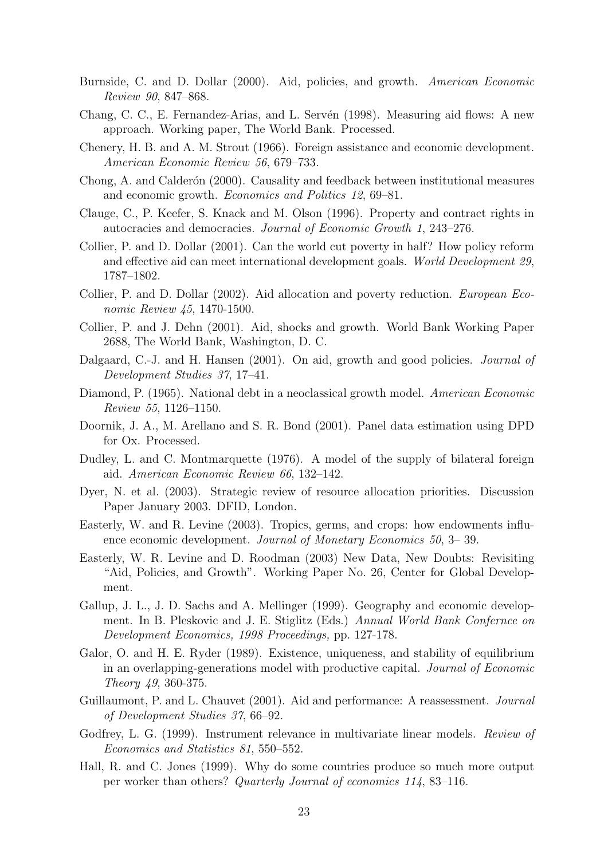- Burnside, C. and D. Dollar (2000). Aid, policies, and growth. American Economic Review 90, 847–868.
- Chang, C. C., E. Fernandez-Arias, and L. Servén (1998). Measuring aid flows: A new approach. Working paper, The World Bank. Processed.
- Chenery, H. B. and A. M. Strout (1966). Foreign assistance and economic development. American Economic Review 56, 679–733.
- Chong, A. and Calderón (2000). Causality and feedback between institutional measures and economic growth. Economics and Politics 12, 69–81.
- Clauge, C., P. Keefer, S. Knack and M. Olson (1996). Property and contract rights in autocracies and democracies. Journal of Economic Growth 1, 243–276.
- Collier, P. and D. Dollar (2001). Can the world cut poverty in half? How policy reform and effective aid can meet international development goals. World Development 29, 1787–1802.
- Collier, P. and D. Dollar (2002). Aid allocation and poverty reduction. European Economic Review 45, 1470-1500.
- Collier, P. and J. Dehn (2001). Aid, shocks and growth. World Bank Working Paper 2688, The World Bank, Washington, D. C.
- Dalgaard, C.-J. and H. Hansen (2001). On aid, growth and good policies. *Journal of* Development Studies 37, 17–41.
- Diamond, P. (1965). National debt in a neoclassical growth model. American Economic Review 55, 1126–1150.
- Doornik, J. A., M. Arellano and S. R. Bond (2001). Panel data estimation using DPD for Ox. Processed.
- Dudley, L. and C. Montmarquette (1976). A model of the supply of bilateral foreign aid. American Economic Review 66, 132–142.
- Dyer, N. et al. (2003). Strategic review of resource allocation priorities. Discussion Paper January 2003. DFID, London.
- Easterly, W. and R. Levine (2003). Tropics, germs, and crops: how endowments influence economic development. Journal of Monetary Economics 50, 3– 39.
- Easterly, W. R. Levine and D. Roodman (2003) New Data, New Doubts: Revisiting "Aid, Policies, and Growth". Working Paper No. 26, Center for Global Development.
- Gallup, J. L., J. D. Sachs and A. Mellinger (1999). Geography and economic development. In B. Pleskovic and J. E. Stiglitz (Eds.) Annual World Bank Confernce on Development Economics, 1998 Proceedings, pp. 127-178.
- Galor, O. and H. E. Ryder (1989). Existence, uniqueness, and stability of equilibrium in an overlapping-generations model with productive capital. Journal of Economic Theory 49, 360-375.
- Guillaumont, P. and L. Chauvet (2001). Aid and performance: A reassessment. Journal of Development Studies 37, 66–92.
- Godfrey, L. G. (1999). Instrument relevance in multivariate linear models. Review of Economics and Statistics 81, 550–552.
- Hall, R. and C. Jones (1999). Why do some countries produce so much more output per worker than others? Quarterly Journal of economics 114, 83–116.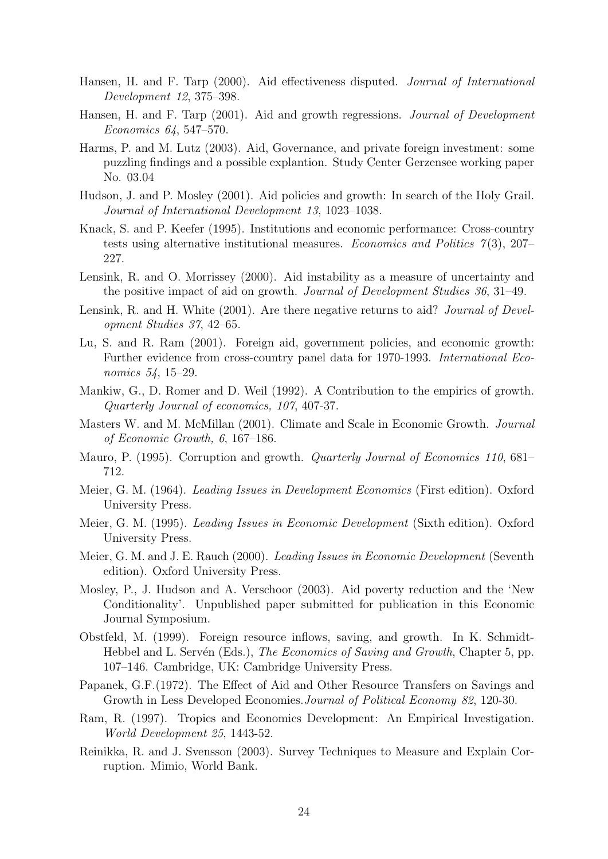- Hansen, H. and F. Tarp (2000). Aid effectiveness disputed. Journal of International Development 12, 375–398.
- Hansen, H. and F. Tarp (2001). Aid and growth regressions. *Journal of Development* Economics 64, 547–570.
- Harms, P. and M. Lutz (2003). Aid, Governance, and private foreign investment: some puzzling findings and a possible explantion. Study Center Gerzensee working paper No. 03.04
- Hudson, J. and P. Mosley (2001). Aid policies and growth: In search of the Holy Grail. Journal of International Development 13, 1023–1038.
- Knack, S. and P. Keefer (1995). Institutions and economic performance: Cross-country tests using alternative institutional measures. *Economics and Politics*  $\gamma(3)$ , 207– 227.
- Lensink, R. and O. Morrissey (2000). Aid instability as a measure of uncertainty and the positive impact of aid on growth. Journal of Development Studies 36, 31–49.
- Lensink, R. and H. White (2001). Are there negative returns to aid? Journal of Development Studies 37, 42–65.
- Lu, S. and R. Ram (2001). Foreign aid, government policies, and economic growth: Further evidence from cross-country panel data for 1970-1993. International Economics 54, 15–29.
- Mankiw, G., D. Romer and D. Weil (1992). A Contribution to the empirics of growth. Quarterly Journal of economics, 107, 407-37.
- Masters W. and M. McMillan (2001). Climate and Scale in Economic Growth. Journal of Economic Growth, 6, 167–186.
- Mauro, P. (1995). Corruption and growth. *Quarterly Journal of Economics 110*, 681– 712.
- Meier, G. M. (1964). Leading Issues in Development Economics (First edition). Oxford University Press.
- Meier, G. M. (1995). Leading Issues in Economic Development (Sixth edition). Oxford University Press.
- Meier, G. M. and J. E. Rauch (2000). Leading Issues in Economic Development (Seventh edition). Oxford University Press.
- Mosley, P., J. Hudson and A. Verschoor (2003). Aid poverty reduction and the 'New Conditionality'. Unpublished paper submitted for publication in this Economic Journal Symposium.
- Obstfeld, M. (1999). Foreign resource inflows, saving, and growth. In K. Schmidt-Hebbel and L. Servén (Eds.), The Economics of Saving and Growth, Chapter 5, pp. 107–146. Cambridge, UK: Cambridge University Press.
- Papanek, G.F.(1972). The Effect of Aid and Other Resource Transfers on Savings and Growth in Less Developed Economies.Journal of Political Economy 82, 120-30.
- Ram, R. (1997). Tropics and Economics Development: An Empirical Investigation. World Development 25, 1443-52.
- Reinikka, R. and J. Svensson (2003). Survey Techniques to Measure and Explain Corruption. Mimio, World Bank.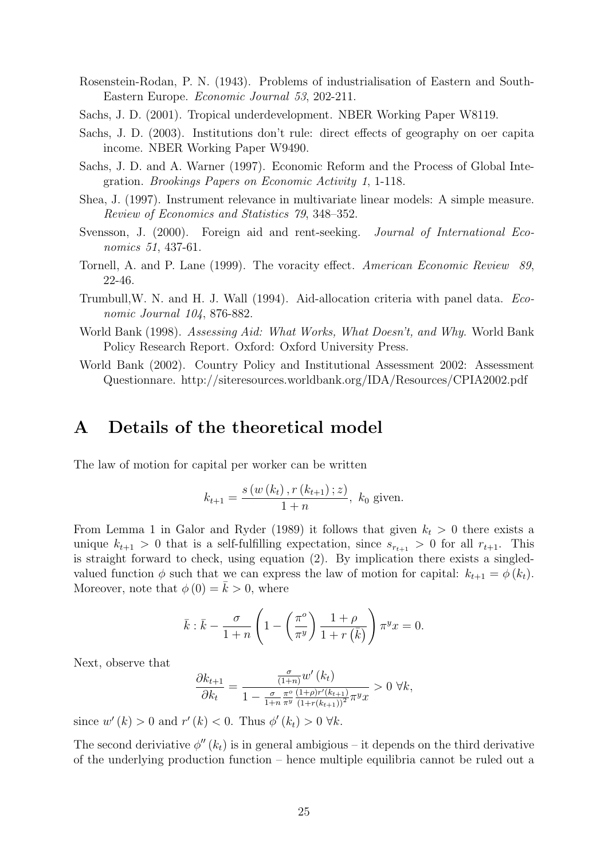- Rosenstein-Rodan, P. N. (1943). Problems of industrialisation of Eastern and South-Eastern Europe. Economic Journal 53, 202-211.
- Sachs, J. D. (2001). Tropical underdevelopment. NBER Working Paper W8119.
- Sachs, J. D. (2003). Institutions don't rule: direct effects of geography on oer capita income. NBER Working Paper W9490.
- Sachs, J. D. and A. Warner (1997). Economic Reform and the Process of Global Integration. Brookings Papers on Economic Activity 1, 1-118.
- Shea, J. (1997). Instrument relevance in multivariate linear models: A simple measure. Review of Economics and Statistics 79, 348–352.
- Svensson, J. (2000). Foreign aid and rent-seeking. *Journal of International Eco*nomics 51, 437-61.
- Tornell, A. and P. Lane (1999). The voracity effect. American Economic Review 89, 22-46.
- Trumbull,W. N. and H. J. Wall (1994). Aid-allocation criteria with panel data. Economic Journal 104, 876-882.
- World Bank (1998). Assessing Aid: What Works, What Doesn't, and Why. World Bank Policy Research Report. Oxford: Oxford University Press.
- World Bank (2002). Country Policy and Institutional Assessment 2002: Assessment Questionnare.<http://siteresources.worldbank.org/IDA/Resources/CPIA2002.pdf>

### A Details of the theoretical model

The law of motion for capital per worker can be written

$$
k_{t+1} = \frac{s(w(k_t), r(k_{t+1}); z)}{1+n}, \ k_0 \text{ given.}
$$

From Lemma 1 in Galor and Ryder (1989) it follows that given  $k_t > 0$  there exists a unique  $k_{t+1} > 0$  that is a self-fulfilling expectation, since  $s_{r_{t+1}} > 0$  for all  $r_{t+1}$ . This is straight forward to check, using equation (2). By implication there exists a singledvalued function  $\phi$  such that we can express the law of motion for capital:  $k_{t+1} = \phi(k_t)$ . Moreover, note that  $\phi(0) = \bar{k} > 0$ , where

$$
\bar{k} : \bar{k} - \frac{\sigma}{1+n} \left( 1 - \left( \frac{\pi^o}{\pi^y} \right) \frac{1+\rho}{1+r(\bar{k})} \right) \pi^y x = 0.
$$

Next, observe that

$$
\frac{\partial k_{t+1}}{\partial k_t} = \frac{\frac{\sigma}{(1+n)} w'(k_t)}{1 - \frac{\sigma}{1+n} \frac{\pi^o}{\pi^y} \frac{(1+\rho)r'(k_{t+1})}{(1+r(k_{t+1}))^2} \pi^y x} > 0 \ \forall k,
$$

since  $w'(k) > 0$  and  $r'(k) < 0$ . Thus  $\phi'(k_t) > 0 \ \forall k$ .

The second deriviative  $\phi''(k_t)$  is in general ambigious – it depends on the third derivative of the underlying production function – hence multiple equilibria cannot be ruled out a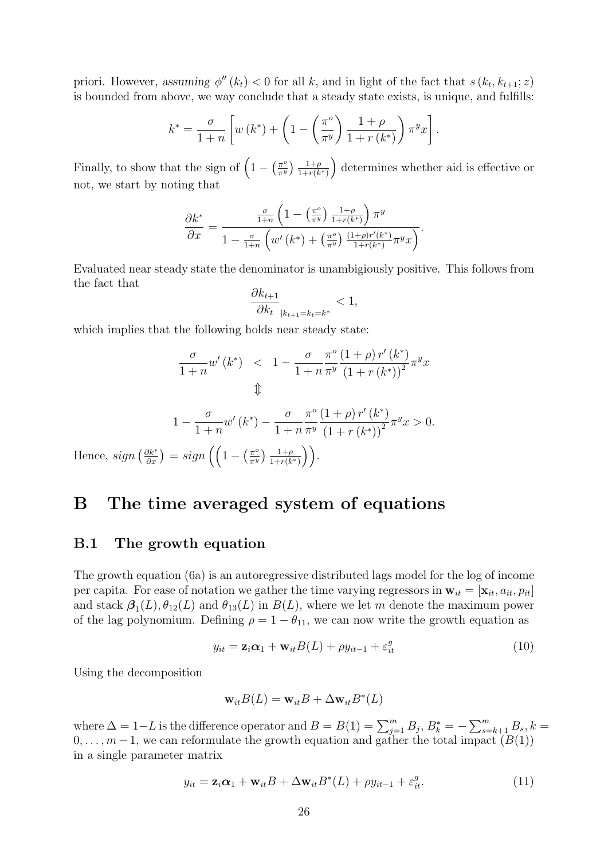priori. However, assuming  $\phi''(k_t) < 0$  for all k, and in light of the fact that  $s(k_t, k_{t+1}; z)$ is bounded from above, we way conclude that a steady state exists, is unique, and fulfills:

$$
k^* = \frac{\sigma}{1+n} \left[ w\left(k^*\right) + \left(1 - \left(\frac{\pi^o}{\pi^y}\right) \frac{1+\rho}{1+r\left(k^*\right)} \right) \pi^y x \right].
$$

Finally, to show that the sign of  $\left(1 - \left(\frac{\pi^o}{\pi^g}\right)\right)$  $\frac{\pi^o}{\pi^y}$ )  $\frac{1+\rho}{1+r(k)}$  $\frac{1+\rho}{1+r(k^*)}$  determines whether aid is effective or not, we start by noting that

$$
\frac{\partial k^*}{\partial x} = \frac{\frac{\sigma}{1+n} \left(1 - \left(\frac{\pi^o}{\pi^y}\right) \frac{1+\rho}{1+r(k^*)}\right) \pi^y}{1 - \frac{\sigma}{1+n} \left(w'\left(k^*\right) + \left(\frac{\pi^o}{\pi^y}\right) \frac{(1+\rho)r'(k^*)}{1+r(k^*)} \pi^y x\right)}.
$$

Evaluated near steady state the denominator is unambigiously positive. This follows from the fact that

$$
\frac{\partial k_{t+1}}{\partial k_t}_{|k_{t+1}=k_t=k^*} < 1,
$$

which implies that the following holds near steady state:

$$
\frac{\sigma}{1+n}w'(k^*) < 1 - \frac{\sigma}{1+n} \frac{\pi^o}{\pi^y} \frac{(1+\rho)r'(k^*)}{(1+r(k^*))^2} \pi^y x
$$
\n
$$
\updownarrow
$$
\n
$$
1 - \frac{\sigma}{1+n}w'(k^*) - \frac{\sigma}{1+n} \frac{\pi^o}{\pi^y} \frac{(1+\rho)r'(k^*)}{(1+r(k^*))^2} \pi^y x > 0.
$$
\n
$$
gn\left(\frac{\partial k^*}{\partial x}\right) = sign\left(\left(1 - \left(\frac{\pi^o}{\pi^y}\right) \frac{1+\rho}{1+r(k^*)}\right)\right).
$$

Hence, sig

### B The time averaged system of equations

#### B.1 The growth equation

The growth equation (6a) is an autoregressive distributed lags model for the log of income per capita. For ease of notation we gather the time varying regressors in  $\mathbf{w}_{it} = [\mathbf{x}_{it}, a_{it}, p_{it}]$ and stack  $\beta_1(L), \theta_{12}(L)$  and  $\theta_{13}(L)$  in  $B(L)$ , where we let m denote the maximum power of the lag polynomium. Defining  $\rho = 1 - \theta_{11}$ , we can now write the growth equation as

$$
y_{it} = \mathbf{z}_i \alpha_1 + \mathbf{w}_{it} B(L) + \rho y_{it-1} + \varepsilon_{it}^g
$$
\n(10)

Using the decomposition

$$
\mathbf{w}_{it}B(L) = \mathbf{w}_{it}B + \Delta \mathbf{w}_{it}B^*(L)
$$

where  $\Delta = 1 - L$  is the difference operator and  $B = B(1) = \sum_{j=1}^{m} B_j$ ,  $B_k^* = -\sum_{s=k+1}^{m} B_s$ ,  $k =$  $0, \ldots, m-1$ , we can reformulate the growth equation and gather the total impact  $(B(1))$ in a single parameter matrix

$$
y_{it} = \mathbf{z}_i \alpha_1 + \mathbf{w}_{it} B + \Delta \mathbf{w}_{it} B^*(L) + \rho y_{it-1} + \varepsilon_{it}^g.
$$
 (11)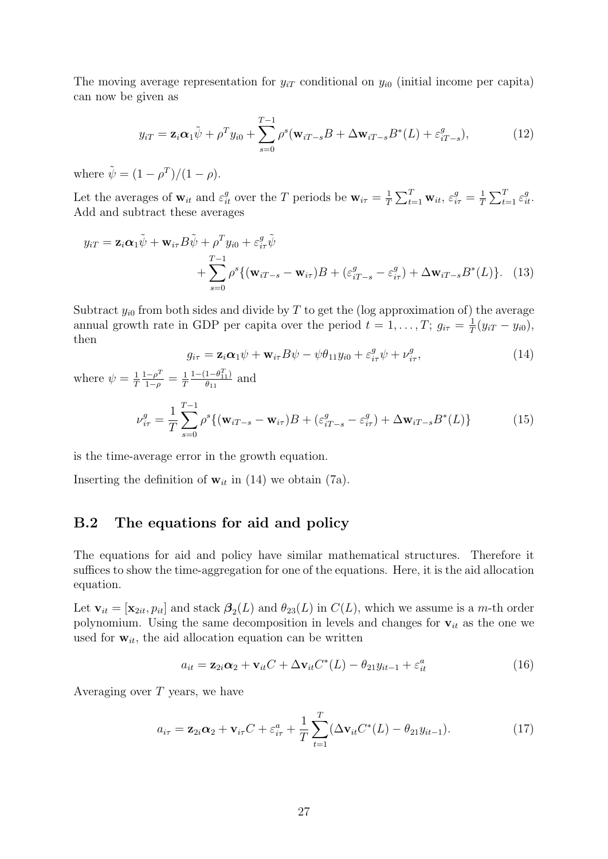The moving average representation for  $y_{iT}$  conditional on  $y_{i0}$  (initial income per capita) can now be given as

$$
y_{iT} = \mathbf{z}_i \alpha_1 \tilde{\psi} + \rho^T y_{i0} + \sum_{s=0}^{T-1} \rho^s (\mathbf{w}_{iT-s} B + \Delta \mathbf{w}_{iT-s} B^*(L) + \varepsilon_{iT-s}^g),
$$
(12)

where  $\tilde{\psi} = (1 - \rho^T)/(1 - \rho)$ .

Let the averages of  $\mathbf{w}_{it}$  and  $\varepsilon_{it}^g$  over the T periods be  $\mathbf{w}_{i\tau} = \frac{1}{T}$  $\frac{1}{T}\sum_{t=1}^T \mathbf{w}_{it}, \, \varepsilon_{i\tau}^g = \frac{1}{T}$  $\frac{1}{T} \sum_{t=1}^T \varepsilon_{it}^g$ . Add and subtract these averages

$$
y_{iT} = \mathbf{z}_i \alpha_1 \tilde{\psi} + \mathbf{w}_{i\tau} B \tilde{\psi} + \rho^T y_{i0} + \varepsilon_{i\tau}^g \tilde{\psi} + \sum_{s=0}^{T-1} \rho^s \{ (\mathbf{w}_{iT-s} - \mathbf{w}_{i\tau}) B + (\varepsilon_{iT-s}^g - \varepsilon_{i\tau}^g) + \Delta \mathbf{w}_{iT-s} B^*(L) \}.
$$
 (13)

Subtract  $y_{i0}$  from both sides and divide by T to get the (log approximation of) the average annual growth rate in GDP per capita over the period  $t = 1, \ldots, T; g_{i\tau} = \frac{1}{7}$  $rac{1}{T}(y_{iT}-y_{i0}),$ then

$$
g_{i\tau} = \mathbf{z}_i \alpha_1 \psi + \mathbf{w}_{i\tau} B \psi - \psi \theta_{11} y_{i0} + \varepsilon_{i\tau}^g \psi + \nu_{i\tau}^g,
$$
(14)

where  $\psi = \frac{1}{7}$ T  $\frac{1-\rho^T}{1-\rho}=\frac{1}{T}$ T  $1 - (1 - \theta_{11}^T)$  $\frac{1-\theta_{11}^2}{\theta_{11}}$  and

$$
\nu_{i\tau}^{g} = \frac{1}{T} \sum_{s=0}^{T-1} \rho^{s} \{ (\mathbf{w}_{iT-s} - \mathbf{w}_{i\tau})B + (\varepsilon_{iT-s}^{g} - \varepsilon_{i\tau}^{g}) + \Delta \mathbf{w}_{iT-s} B^{*}(L) \}
$$
(15)

is the time-average error in the growth equation.

Inserting the definition of  $w_{it}$  in (14) we obtain (7a).

### B.2 The equations for aid and policy

The equations for aid and policy have similar mathematical structures. Therefore it suffices to show the time-aggregation for one of the equations. Here, it is the aid allocation equation.

Let  $\mathbf{v}_{it} = [\mathbf{x}_{2it}, p_{it}]$  and stack  $\mathcal{B}_2(L)$  and  $\theta_{23}(L)$  in  $C(L)$ , which we assume is a m-th order polynomium. Using the same decomposition in levels and changes for  $v_{it}$  as the one we used for  $w_{it}$ , the aid allocation equation can be written

$$
a_{it} = \mathbf{z}_{2i}\alpha_2 + \mathbf{v}_{it}C + \Delta\mathbf{v}_{it}C^*(L) - \theta_{21}y_{it-1} + \varepsilon_{it}^a
$$
\n(16)

Averaging over  $T$  years, we have

$$
a_{i\tau} = \mathbf{z}_{2i}\alpha_2 + \mathbf{v}_{i\tau}C + \varepsilon_{i\tau}^a + \frac{1}{T}\sum_{t=1}^T(\Delta\mathbf{v}_{it}C^*(L) - \theta_{21}y_{it-1}).
$$
\n(17)